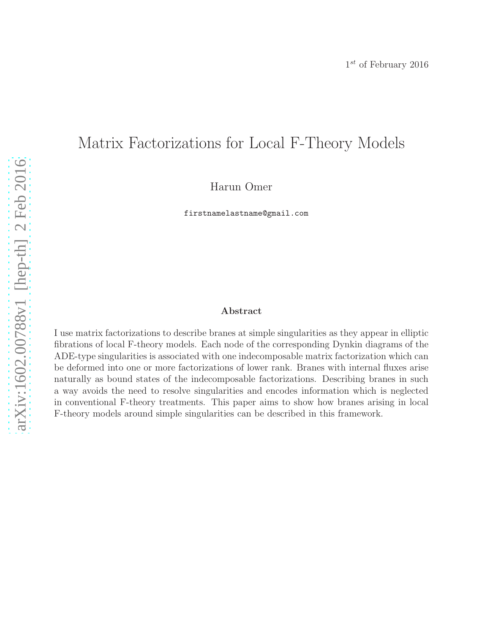# Matrix Factorizations for Local F-Theory Models

Harun Omer

firstnamelastname@gmail.com

### Abstract

I use matrix factorizations to describe branes at simple singularities as they appear in elliptic fibrations of local F-theory models. Each node of the corresponding Dynkin diagrams of the ADE-type singularities is associated with one indecomposable matrix factorization which can be deformed into one or more factorizations of lower rank. Branes with internal fluxes arise naturally as bound states of the indecomposable factorizations. Describing branes in such a way avoids the need to resolve singularities and encodes information which is neglected in conventional F-theory treatments. This paper aims to show how branes arising in local F-theory models around simple singularities can be described in this framework.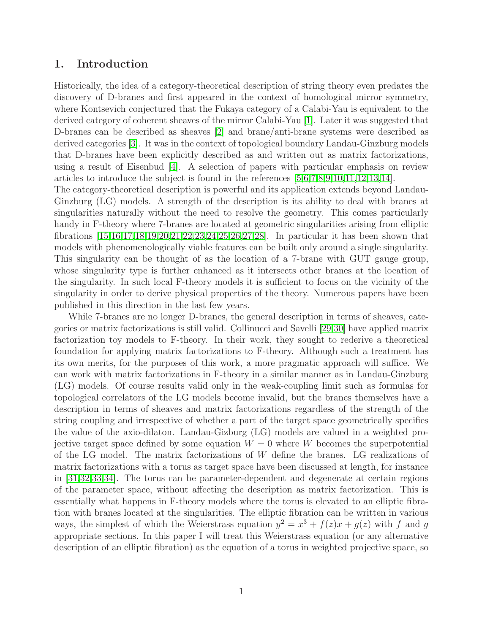### 1. Introduction

Historically, the idea of a category-theoretical description of string theory even predates the discovery of D-branes and first appeared in the context of homological mirror symmetry, where Kontsevich conjectured that the Fukaya category of a Calabi-Yau is equivalent to the derived category of coherent sheaves of the mirror Calabi-Yau [\[1\]](#page-26-0). Later it was suggested that D-branes can be described as sheaves [\[2\]](#page-26-1) and brane/anti-brane systems were described as derived categories [\[3\]](#page-26-2). It was in the context of topological boundary Landau-Ginzburg models that D-branes have been explicitly described as and written out as matrix factorizations, using a result of Eisenbud [\[4\]](#page-26-3). A selection of papers with particular emphasis on review articles to introduce the subject is found in the references [\[5](#page-26-4)[,6,](#page-26-5)[7,](#page-26-6)[8,](#page-26-7)[9](#page-26-8)[,10](#page-26-9)[,11,](#page-26-10)[12,](#page-26-11)[13,](#page-27-0)[14\]](#page-27-1).

The category-theoretical description is powerful and its application extends beyond Landau-Ginzburg (LG) models. A strength of the description is its ability to deal with branes at singularities naturally without the need to resolve the geometry. This comes particularly handy in F-theory where 7-branes are located at geometric singularities arising from elliptic fibrations [\[15,](#page-27-2)[16,](#page-27-3)[17](#page-27-4)[,18](#page-27-5)[,19](#page-27-6)[,20,](#page-27-7)[21,](#page-27-8)[22,](#page-27-9)[23](#page-27-10)[,24](#page-27-11)[,25](#page-27-12)[,26](#page-27-13)[,27](#page-27-14)[,28\]](#page-27-15). In particular it has been shown that models with phenomenologically viable features can be built only around a single singularity. This singularity can be thought of as the location of a 7-brane with GUT gauge group, whose singularity type is further enhanced as it intersects other branes at the location of the singularity. In such local F-theory models it is sufficient to focus on the vicinity of the singularity in order to derive physical properties of the theory. Numerous papers have been published in this direction in the last few years.

While 7-branes are no longer D-branes, the general description in terms of sheaves, categories or matrix factorizations is still valid. Collinucci and Savelli [\[29](#page-27-16)[,30\]](#page-28-0) have applied matrix factorization toy models to F-theory. In their work, they sought to rederive a theoretical foundation for applying matrix factorizations to F-theory. Although such a treatment has its own merits, for the purposes of this work, a more pragmatic approach will suffice. We can work with matrix factorizations in F-theory in a similar manner as in Landau-Ginzburg (LG) models. Of course results valid only in the weak-coupling limit such as formulas for topological correlators of the LG models become invalid, but the branes themselves have a description in terms of sheaves and matrix factorizations regardless of the strength of the string coupling and irrespective of whether a part of the target space geometrically specifies the value of the axio-dilaton. Landau-Gizburg (LG) models are valued in a weighted projective target space defined by some equation  $W = 0$  where W becomes the superpotential of the LG model. The matrix factorizations of W define the branes. LG realizations of matrix factorizations with a torus as target space have been discussed at length, for instance in [\[31](#page-28-1)[,32,](#page-28-2)[33,](#page-28-3)[34\]](#page-28-4). The torus can be parameter-dependent and degenerate at certain regions of the parameter space, without affecting the description as matrix factorization. This is essentially what happens in F-theory models where the torus is elevated to an elliptic fibration with branes located at the singularities. The elliptic fibration can be written in various ways, the simplest of which the Weierstrass equation  $y^2 = x^3 + f(z)x + g(z)$  with f and g appropriate sections. In this paper I will treat this Weierstrass equation (or any alternative description of an elliptic fibration) as the equation of a torus in weighted projective space, so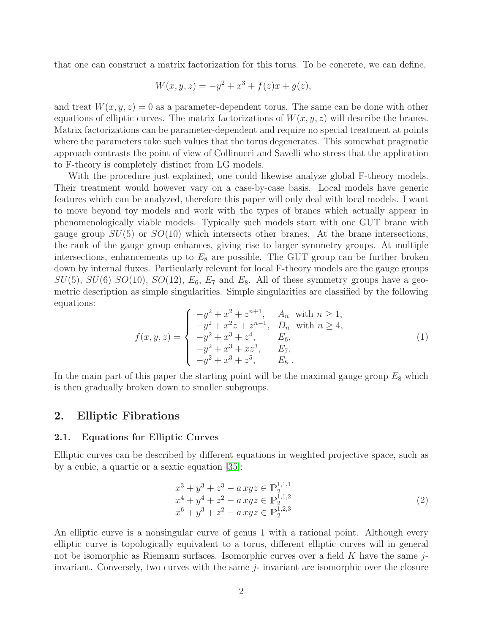that one can construct a matrix factorization for this torus. To be concrete, we can define,

$$
W(x, y, z) = -y^2 + x^3 + f(z)x + g(z),
$$

and treat  $W(x, y, z) = 0$  as a parameter-dependent torus. The same can be done with other equations of elliptic curves. The matrix factorizations of  $W(x, y, z)$  will describe the branes. Matrix factorizations can be parameter-dependent and require no special treatment at points where the parameters take such values that the torus degenerates. This somewhat pragmatic approach contrasts the point of view of Collinucci and Savelli who stress that the application to F-theory is completely distinct from LG models.

With the procedure just explained, one could likewise analyze global F-theory models. Their treatment would however vary on a case-by-case basis. Local models have generic features which can be analyzed, therefore this paper will only deal with local models. I want to move beyond toy models and work with the types of branes which actually appear in phenomenologically viable models. Typically such models start with one GUT brane with gauge group  $SU(5)$  or  $SO(10)$  which intersects other branes. At the brane intersections, the rank of the gauge group enhances, giving rise to larger symmetry groups. At multiple intersections, enhancements up to  $E_8$  are possible. The GUT group can be further broken down by internal fluxes. Particularly relevant for local F-theory models are the gauge groups  $SU(5)$ ,  $SU(6)$   $SO(10)$ ,  $SO(12)$ ,  $E_6$ ,  $E_7$  and  $E_8$ . All of these symmetry groups have a geometric description as simple singularities. Simple singularities are classified by the following equations:

$$
f(x,y,z) = \begin{cases} -y^2 + x^2 + z^{n+1}, & A_n \text{ with } n \ge 1, \\ -y^2 + x^2 z + z^{n-1}, & D_n \text{ with } n \ge 4, \\ -y^2 + x^3 + z^4, & E_6, \\ -y^2 + x^3 + xz^3, & E_7, \\ -y^2 + x^3 + z^5, & E_8 \end{cases}
$$
 (1)

In the main part of this paper the starting point will be the maximal gauge group  $E_8$  which is then gradually broken down to smaller subgroups.

### 2. Elliptic Fibrations

#### 2.1. Equations for Elliptic Curves

Elliptic curves can be described by different equations in weighted projective space, such as by a cubic, a quartic or a sextic equation [\[35\]](#page-28-5):

$$
x^{3} + y^{3} + z^{3} - a xyz \in \mathbb{P}_{2}^{1,1,1}
$$
  
\n
$$
x^{4} + y^{4} + z^{2} - a xyz \in \mathbb{P}_{2}^{1,1,2}
$$
  
\n
$$
x^{6} + y^{3} + z^{2} - a xyz \in \mathbb{P}_{2}^{1,2,3}
$$
\n(2)

An elliptic curve is a nonsingular curve of genus 1 with a rational point. Although every elliptic curve is topologically equivalent to a torus, different elliptic curves will in general not be isomorphic as Riemann surfaces. Isomorphic curves over a field K have the same  $j$ invariant. Conversely, two curves with the same j- invariant are isomorphic over the closure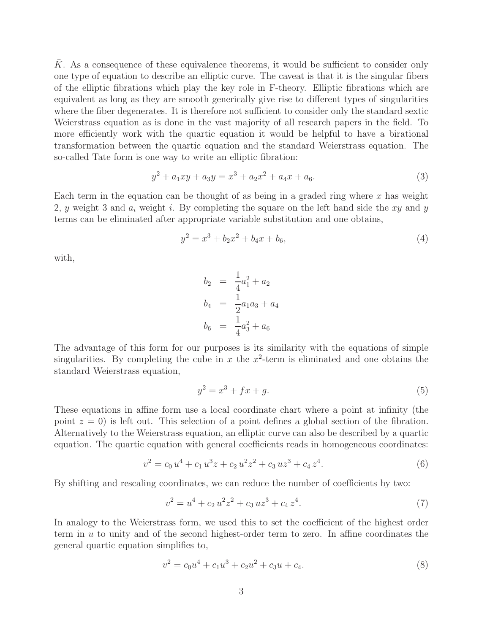K. As a consequence of these equivalence theorems, it would be sufficient to consider only one type of equation to describe an elliptic curve. The caveat is that it is the singular fibers of the elliptic fibrations which play the key role in F-theory. Elliptic fibrations which are equivalent as long as they are smooth generically give rise to different types of singularities where the fiber degenerates. It is therefore not sufficient to consider only the standard sextic Weierstrass equation as is done in the vast majority of all research papers in the field. To more efficiently work with the quartic equation it would be helpful to have a birational transformation between the quartic equation and the standard Weierstrass equation. The so-called Tate form is one way to write an elliptic fibration:

$$
y^2 + a_1xy + a_3y = x^3 + a_2x^2 + a_4x + a_6.
$$
\n(3)

Each term in the equation can be thought of as being in a graded ring where  $x$  has weight 2, y weight 3 and  $a_i$  weight i. By completing the square on the left hand side the xy and y terms can be eliminated after appropriate variable substitution and one obtains,

<span id="page-3-1"></span>
$$
y^2 = x^3 + b_2 x^2 + b_4 x + b_6,
$$
\n<sup>(4)</sup>

with,

$$
b_2 = \frac{1}{4}a_1^2 + a_2
$$
  
\n
$$
b_4 = \frac{1}{2}a_1a_3 + a_4
$$
  
\n
$$
b_6 = \frac{1}{4}a_3^2 + a_6
$$

The advantage of this form for our purposes is its similarity with the equations of simple singularities. By completing the cube in  $x$  the  $x^2$ -term is eliminated and one obtains the standard Weierstrass equation,

$$
y^2 = x^3 + fx + g.
$$
 (5)

These equations in affine form use a local coordinate chart where a point at infinity (the point  $z = 0$ ) is left out. This selection of a point defines a global section of the fibration. Alternatively to the Weierstrass equation, an elliptic curve can also be described by a quartic equation. The quartic equation with general coefficients reads in homogeneous coordinates:

$$
v^2 = c_0 u^4 + c_1 u^3 z + c_2 u^2 z^2 + c_3 u z^3 + c_4 z^4.
$$
 (6)

By shifting and rescaling coordinates, we can reduce the number of coefficients by two:

$$
v^2 = u^4 + c_2 u^2 z^2 + c_3 u z^3 + c_4 z^4.
$$
\n<sup>(7)</sup>

In analogy to the Weierstrass form, we used this to set the coefficient of the highest order term in  $u$  to unity and of the second highest-order term to zero. In affine coordinates the general quartic equation simplifies to,

<span id="page-3-0"></span>
$$
v^2 = c_0 u^4 + c_1 u^3 + c_2 u^2 + c_3 u + c_4.
$$
\n<sup>(8)</sup>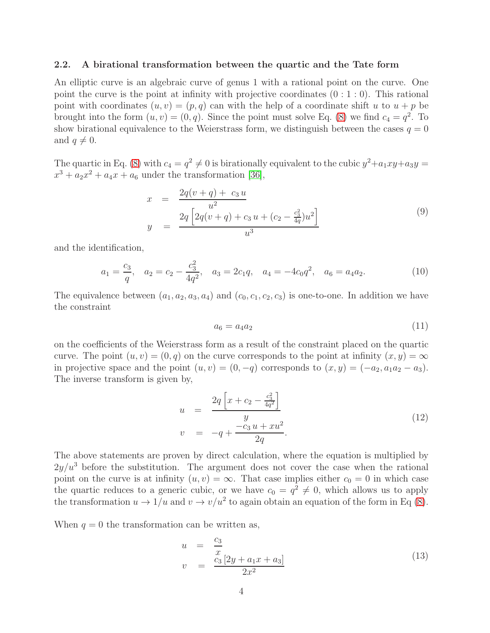#### 2.2. A birational transformation between the quartic and the Tate form

An elliptic curve is an algebraic curve of genus 1 with a rational point on the curve. One point the curve is the point at infinity with projective coordinates  $(0:1:0)$ . This rational point with coordinates  $(u, v) = (p, q)$  can with the help of a coordinate shift u to  $u + p$  be brought into the form  $(u, v) = (0, q)$ . Since the point must solve Eq. [\(8\)](#page-3-0) we find  $c_4 = q^2$ . To show birational equivalence to the Weierstrass form, we distinguish between the cases  $q = 0$ and  $q \neq 0$ .

The quartic in Eq. [\(8\)](#page-3-0) with  $c_4 = q^2 \neq 0$  is birationally equivalent to the cubic  $y^2 + a_1xy + a_3y =$  $x^3 + a_2x^2 + a_4x + a_6$  under the transformation [\[36\]](#page-28-6),

$$
x = \frac{2q(v+q) + c_3 u}{u^2}
$$
  

$$
y = \frac{2q \left[2q(v+q) + c_3 u + (c_2 - \frac{c_3^2}{4q})u^2\right]}{u^3}
$$
 (9)

and the identification,

$$
a_1 = \frac{c_3}{q}
$$
,  $a_2 = c_2 - \frac{c_3^2}{4q^2}$ ,  $a_3 = 2c_1q$ ,  $a_4 = -4c_0q^2$ ,  $a_6 = a_4a_2$ . (10)

The equivalence between  $(a_1, a_2, a_3, a_4)$  and  $(c_0, c_1, c_2, c_3)$  is one-to-one. In addition we have the constraint

<span id="page-4-0"></span>
$$
a_6 = a_4 a_2 \tag{11}
$$

on the coefficients of the Weierstrass form as a result of the constraint placed on the quartic curve. The point  $(u, v) = (0, q)$  on the curve corresponds to the point at infinity  $(x, y) = \infty$ in projective space and the point  $(u, v) = (0, -q)$  corresponds to  $(x, y) = (-a_2, a_1a_2 - a_3)$ . The inverse transform is given by,

$$
u = \frac{2q\left[x + c_2 - \frac{c_3^2}{4q^2}\right]}{y}
$$
  
\n
$$
v = -q + \frac{-c_3 u + xu^2}{2q}.
$$
\n(12)

The above statements are proven by direct calculation, where the equation is multiplied by  $2y/u^3$  before the substitution. The argument does not cover the case when the rational point on the curve is at infinity  $(u, v) = \infty$ . That case implies either  $c_0 = 0$  in which case the quartic reduces to a generic cubic, or we have  $c_0 = q^2 \neq 0$ , which allows us to apply the transformation  $u \to 1/u$  and  $v \to v/u^2$  to again obtain an equation of the form in Eq [\(8\)](#page-3-0).

When  $q = 0$  the transformation can be written as,

$$
u = \frac{c_3}{x} \n v = \frac{c_3 [2y + a_1 x + a_3]}{2x^2}
$$
\n(13)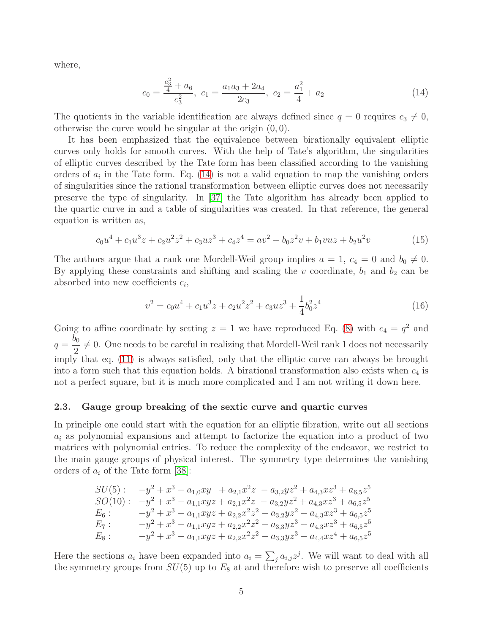where,

<span id="page-5-0"></span>
$$
c_0 = \frac{\frac{a_3^2}{4} + a_6}{c_3^2}, \ c_1 = \frac{a_1 a_3 + 2a_4}{2c_3}, \ c_2 = \frac{a_1^2}{4} + a_2 \tag{14}
$$

The quotients in the variable identification are always defined since  $q = 0$  requires  $c_3 \neq 0$ , otherwise the curve would be singular at the origin  $(0, 0)$ .

It has been emphasized that the equivalence between birationally equivalent elliptic curves only holds for smooth curves. With the help of Tate's algorithm, the singularities of elliptic curves described by the Tate form has been classified according to the vanishing orders of  $a_i$  in the Tate form. Eq. [\(14\)](#page-5-0) is not a valid equation to map the vanishing orders of singularities since the rational transformation between elliptic curves does not necessarily preserve the type of singularity. In [\[37\]](#page-28-7) the Tate algorithm has already been applied to the quartic curve in and a table of singularities was created. In that reference, the general equation is written as,

<span id="page-5-1"></span>
$$
c_0u^4 + c_1u^3z + c_2u^2z^2 + c_3uz^3 + c_4z^4 = av^2 + b_0z^2v + b_1vuz + b_2u^2v \tag{15}
$$

The authors argue that a rank one Mordell-Weil group implies  $a = 1, c_4 = 0$  and  $b_0 \neq 0$ . By applying these constraints and shifting and scaling the  $v$  coordinate,  $b_1$  and  $b_2$  can be absorbed into new coefficients  $c_i$ ,

$$
v^2 = c_0 u^4 + c_1 u^3 z + c_2 u^2 z^2 + c_3 u z^3 + \frac{1}{4} b_0^2 z^4 \tag{16}
$$

Going to affine coordinate by setting  $z = 1$  we have reproduced Eq. [\(8\)](#page-3-0) with  $c_4 = q^2$  and  $q =$  $b_{0}$ 2  $\neq 0$ . One needs to be careful in realizing that Mordell-Weil rank 1 does not necessarily imply that eq. [\(11\)](#page-4-0) is always satisfied, only that the elliptic curve can always be brought into a form such that this equation holds. A birational transformation also exists when  $c_4$  is not a perfect square, but it is much more complicated and I am not writing it down here.

#### 2.3. Gauge group breaking of the sextic curve and quartic curves

In principle one could start with the equation for an elliptic fibration, write out all sections  $a_i$  as polynomial expansions and attempt to factorize the equation into a product of two matrices with polynomial entries. To reduce the complexity of the endeavor, we restrict to the main gauge groups of physical interest. The symmetry type determines the vanishing orders of  $a_i$  of the Tate form [\[38\]](#page-28-8):

$$
SU(5): \t-y^2 + x^3 - a_{1,0}xy + a_{2,1}x^2z - a_{3,2}yz^2 + a_{4,3}xz^3 + a_{6,5}z^5
$$
  
\n
$$
SO(10): \t-y^2 + x^3 - a_{1,1}xyz + a_{2,1}x^2z - a_{3,2}yz^2 + a_{4,3}xz^3 + a_{6,5}z^5
$$
  
\n
$$
E_6: \t-y^2 + x^3 - a_{1,1}xyz + a_{2,2}x^2z^2 - a_{3,2}yz^2 + a_{4,3}xz^3 + a_{6,5}z^5
$$
  
\n
$$
E_7: \t-y^2 + x^3 - a_{1,1}xyz + a_{2,2}x^2z^2 - a_{3,3}yz^3 + a_{4,3}xz^3 + a_{6,5}z^5
$$
  
\n
$$
E_8: \t-y^2 + x^3 - a_{1,1}xyz + a_{2,2}x^2z^2 - a_{3,3}yz^3 + a_{4,4}xz^4 + a_{6,5}z^5
$$

Here the sections  $a_i$  have been expanded into  $a_i = \sum_j a_{i,j} z^j$ . We will want to deal with all the symmetry groups from  $SU(5)$  up to  $E_8$  at and therefore wish to preserve all coefficients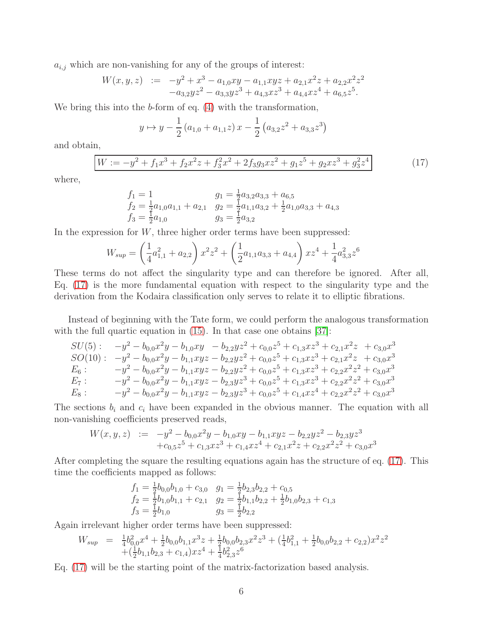$a_{i,j}$  which are non-vanishing for any of the groups of interest:

$$
W(x, y, z) := -y^2 + x^3 - a_{1,0}xy - a_{1,1}xyz + a_{2,1}x^2z + a_{2,2}x^2z^2 -a_{3,2}yz^2 - a_{3,3}yz^3 + a_{4,3}xz^3 + a_{4,4}xz^4 + a_{6,5}z^5.
$$

We bring this into the b-form of eq.  $(4)$  with the transformation,

$$
y \mapsto y - \frac{1}{2} (a_{1,0} + a_{1,1} z) x - \frac{1}{2} (a_{3,2} z^2 + a_{3,3} z^3)
$$

and obtain,

<span id="page-6-0"></span>
$$
W := -y^2 + f_1 x^3 + f_2 x^2 z + f_3^2 x^2 + 2 f_3 g_3 x z^2 + g_1 z^5 + g_2 x z^3 + g_3^2 z^4
$$
 (17)

where,

$$
f_1 = 1
$$
  
\n
$$
f_2 = \frac{1}{2}a_{1,0}a_{1,1} + a_{2,1}
$$
  
\n
$$
g_1 = \frac{1}{2}a_{3,2}a_{3,3} + a_{6,5}
$$
  
\n
$$
f_2 = \frac{1}{2}a_{1,0}a_{1,1} + a_{2,1}
$$
  
\n
$$
g_3 = \frac{1}{2}a_{3,2}
$$
  
\n
$$
g_4 = \frac{1}{2}a_{1,0}a_{3,3} + a_{4,3}
$$

In the expression for  $W$ , three higher order terms have been suppressed:

$$
W_{sup} = \left(\frac{1}{4}a_{1,1}^2 + a_{2,2}\right)x^2z^2 + \left(\frac{1}{2}a_{1,1}a_{3,3} + a_{4,4}\right)xz^4 + \frac{1}{4}a_{3,3}^2z^6
$$

These terms do not affect the singularity type and can therefore be ignored. After all, Eq. [\(17\)](#page-6-0) is the more fundamental equation with respect to the singularity type and the derivation from the Kodaira classification only serves to relate it to elliptic fibrations.

Instead of beginning with the Tate form, we could perform the analogous transformation with the full quartic equation in [\(15\)](#page-5-1). In that case one obtains [\[37\]](#page-28-7):

$$
SU(5): \t-y^2 - b_{0,0}x^2y - b_{1,0}xy - b_{2,2}yz^2 + c_{0,0}z^5 + c_{1,3}xz^3 + c_{2,1}x^2z + c_{3,0}x^3
$$
  
\n
$$
SO(10): \t-y^2 - b_{0,0}x^2y - b_{1,1}xyz - b_{2,2}yz^2 + c_{0,0}z^5 + c_{1,3}xz^3 + c_{2,1}x^2z + c_{3,0}x^3
$$
  
\n
$$
E_6: \t-y^2 - b_{0,0}x^2y - b_{1,1}xyz - b_{2,2}yz^2 + c_{0,0}z^5 + c_{1,3}xz^3 + c_{2,2}x^2z^2 + c_{3,0}x^3
$$
  
\n
$$
E_7: \t-y^2 - b_{0,0}x^2y - b_{1,1}xyz - b_{2,3}yz^3 + c_{0,0}z^5 + c_{1,3}xz^3 + c_{2,2}x^2z^2 + c_{3,0}x^3
$$
  
\n
$$
E_8: \t-y^2 - b_{0,0}x^2y - b_{1,1}xyz - b_{2,3}yz^3 + c_{0,0}z^5 + c_{1,4}xz^4 + c_{2,2}x^2z^2 + c_{3,0}x^3
$$

The sections  $b_i$  and  $c_i$  have been expanded in the obvious manner. The equation with all non-vanishing coefficients preserved reads,

$$
W(x, y, z) := -y^2 - b_{0,0}x^2y - b_{1,0}xy - b_{1,1}xyz - b_{2,2}yz^2 - b_{2,3}yz^3
$$
  
+  $c_{0,5}z^5 + c_{1,3}xz^3 + c_{1,4}xz^4 + c_{2,1}x^2z + c_{2,2}x^2z^2 + c_{3,0}x^3$ 

After completing the square the resulting equations again has the structure of eq. [\(17\)](#page-6-0). This time the coefficients mapped as follows:

$$
f_1 = \frac{1}{2}b_{0,0}b_{1,0} + c_{3,0} \quad g_1 = \frac{1}{2}b_{2,3}b_{2,2} + c_{0,5}
$$
  
\n
$$
f_2 = \frac{1}{2}b_{1,0}b_{1,1} + c_{2,1} \quad g_2 = \frac{1}{2}b_{1,1}b_{2,2} + \frac{1}{2}b_{1,0}b_{2,3} + c_{1,3}
$$
  
\n
$$
f_3 = \frac{1}{2}b_{1,0} \qquad g_3 = \frac{1}{2}b_{2,2}
$$

Again irrelevant higher order terms have been suppressed:

$$
W_{sup} = \frac{1}{4}b_{0,0}^2x^4 + \frac{1}{2}b_{0,0}b_{1,1}x^3z + \frac{1}{2}b_{0,0}b_{2,3}x^2z^3 + (\frac{1}{4}b_{1,1}^2 + \frac{1}{2}b_{0,0}b_{2,2} + c_{2,2})x^2z^2
$$
  
 
$$
+(\frac{1}{2}b_{1,1}b_{2,3} + c_{1,4})xz^4 + \frac{1}{4}b_{2,3}^2z^6
$$

Eq. [\(17\)](#page-6-0) will be the starting point of the matrix-factorization based analysis.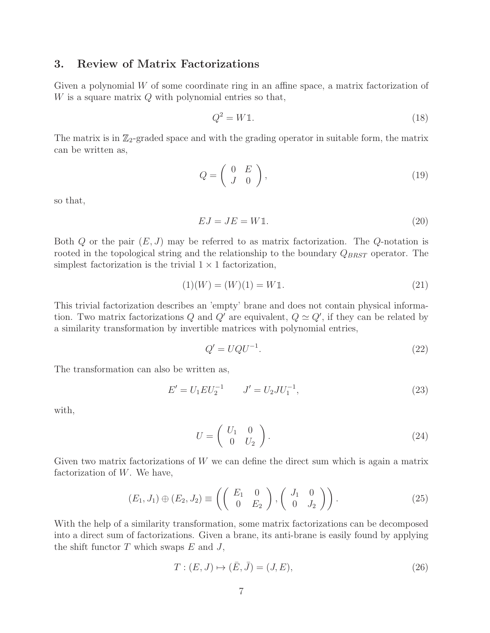### 3. Review of Matrix Factorizations

Given a polynomial  $W$  of some coordinate ring in an affine space, a matrix factorization of W is a square matrix  $Q$  with polynomial entries so that,

$$
Q^2 = W1.
$$
\n<sup>(18)</sup>

The matrix is in  $\mathbb{Z}_2$ -graded space and with the grading operator in suitable form, the matrix can be written as,

$$
Q = \left(\begin{array}{cc} 0 & E \\ J & 0 \end{array}\right),\tag{19}
$$

so that,

$$
EJ = JE = W1.
$$
\n<sup>(20)</sup>

Both  $Q$  or the pair  $(E, J)$  may be referred to as matrix factorization. The  $Q$ -notation is rooted in the topological string and the relationship to the boundary  $Q_{BRST}$  operator. The simplest factorization is the trivial  $1 \times 1$  factorization,

$$
(1)(W) = (W)(1) = W1.
$$
\n(21)

This trivial factorization describes an 'empty' brane and does not contain physical information. Two matrix factorizations Q and Q' are equivalent,  $Q \simeq Q'$ , if they can be related by a similarity transformation by invertible matrices with polynomial entries,

$$
Q' = UQU^{-1}.\tag{22}
$$

The transformation can also be written as,

$$
E' = U_1 E U_2^{-1} \qquad J' = U_2 J U_1^{-1}, \tag{23}
$$

with,

$$
U = \left(\begin{array}{cc} U_1 & 0 \\ 0 & U_2 \end{array}\right). \tag{24}
$$

Given two matrix factorizations of W we can define the direct sum which is again a matrix factorization of  $W$ . We have,

$$
(E_1, J_1) \oplus (E_2, J_2) \equiv \left( \left( \begin{array}{cc} E_1 & 0 \\ 0 & E_2 \end{array} \right), \left( \begin{array}{cc} J_1 & 0 \\ 0 & J_2 \end{array} \right) \right). \tag{25}
$$

With the help of a similarity transformation, some matrix factorizations can be decomposed into a direct sum of factorizations. Given a brane, its anti-brane is easily found by applying the shift functor  $T$  which swaps  $E$  and  $J$ ,

$$
T: (E, J) \mapsto (\bar{E}, \bar{J}) = (J, E), \tag{26}
$$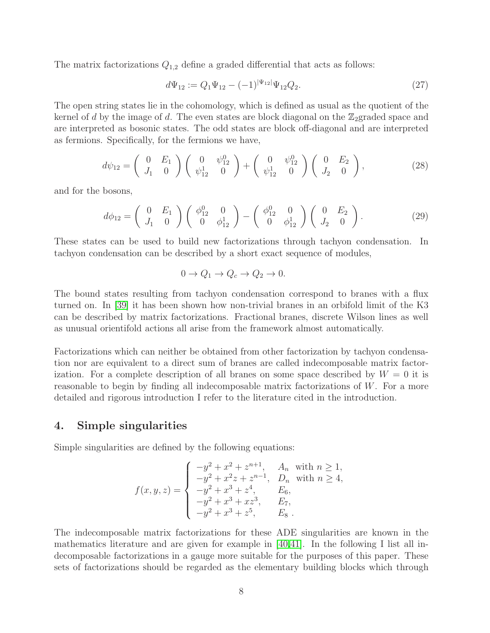The matrix factorizations  $Q_{1,2}$  define a graded differential that acts as follows:

$$
d\Psi_{12} := Q_1 \Psi_{12} - (-1)^{|\Psi_{12}|} \Psi_{12} Q_2.
$$
\n(27)

The open string states lie in the cohomology, which is defined as usual as the quotient of the kernel of d by the image of d. The even states are block diagonal on the  $\mathbb{Z}_2$ graded space and are interpreted as bosonic states. The odd states are block off-diagonal and are interpreted as fermions. Specifically, for the fermions we have,

$$
d\psi_{12} = \begin{pmatrix} 0 & E_1 \\ J_1 & 0 \end{pmatrix} \begin{pmatrix} 0 & \psi_{12}^0 \\ \psi_{12}^1 & 0 \end{pmatrix} + \begin{pmatrix} 0 & \psi_{12}^0 \\ \psi_{12}^1 & 0 \end{pmatrix} \begin{pmatrix} 0 & E_2 \\ J_2 & 0 \end{pmatrix},
$$
 (28)

and for the bosons,

$$
d\phi_{12} = \begin{pmatrix} 0 & E_1 \\ J_1 & 0 \end{pmatrix} \begin{pmatrix} \phi_{12}^0 & 0 \\ 0 & \phi_{12}^1 \end{pmatrix} - \begin{pmatrix} \phi_{12}^0 & 0 \\ 0 & \phi_{12}^1 \end{pmatrix} \begin{pmatrix} 0 & E_2 \\ J_2 & 0 \end{pmatrix}.
$$
 (29)

These states can be used to build new factorizations through tachyon condensation. In tachyon condensation can be described by a short exact sequence of modules,

$$
0 \to Q_1 \to Q_c \to Q_2 \to 0.
$$

The bound states resulting from tachyon condensation correspond to branes with a flux turned on. In [\[39\]](#page-28-9) it has been shown how non-trivial branes in an orbifold limit of the K3 can be described by matrix factorizations. Fractional branes, discrete Wilson lines as well as unusual orientifold actions all arise from the framework almost automatically.

Factorizations which can neither be obtained from other factorization by tachyon condensation nor are equivalent to a direct sum of branes are called indecomposable matrix factorization. For a complete description of all branes on some space described by  $W = 0$  it is reasonable to begin by finding all indecomposable matrix factorizations of W. For a more detailed and rigorous introduction I refer to the literature cited in the introduction.

### 4. Simple singularities

Simple singularities are defined by the following equations:

$$
f(x, y, z) = \begin{cases} -y^2 + x^2 + z^{n+1}, & A_n \text{ with } n \ge 1, \\ -y^2 + x^2 z + z^{n-1}, & D_n \text{ with } n \ge 4, \\ -y^2 + x^3 + z^4, & E_6, \\ -y^2 + x^3 + xz^3, & E_7, \\ -y^2 + x^3 + z^5, & E_8 \end{cases}
$$

The indecomposable matrix factorizations for these ADE singularities are known in the mathematics literature and are given for example in [\[40,](#page-28-10)[41\]](#page-28-11). In the following I list all indecomposable factorizations in a gauge more suitable for the purposes of this paper. These sets of factorizations should be regarded as the elementary building blocks which through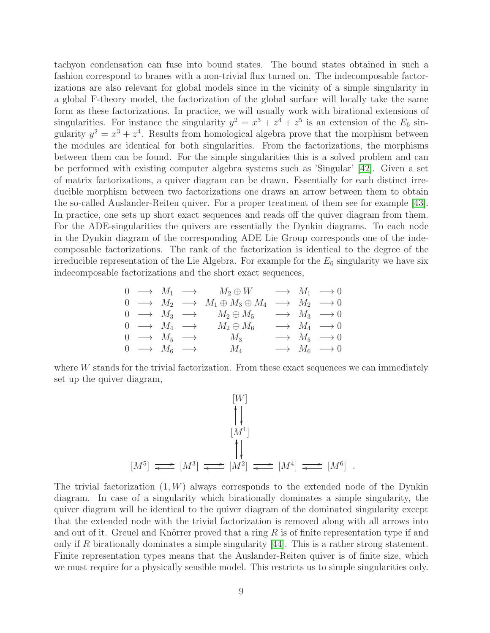tachyon condensation can fuse into bound states. The bound states obtained in such a fashion correspond to branes with a non-trivial flux turned on. The indecomposable factorizations are also relevant for global models since in the vicinity of a simple singularity in a global F-theory model, the factorization of the global surface will locally take the same form as these factorizations. In practice, we will usually work with birational extensions of singularities. For instance the singularity  $y^2 = x^3 + z^4 + z^5$  is an extension of the  $E_6$  singularity  $y^2 = x^3 + z^4$ . Results from homological algebra prove that the morphism between the modules are identical for both singularities. From the factorizations, the morphisms between them can be found. For the simple singularities this is a solved problem and can be performed with existing computer algebra systems such as 'Singular' [\[42\]](#page-28-12). Given a set of matrix factorizations, a quiver diagram can be drawn. Essentially for each distinct irreducible morphism between two factorizations one draws an arrow between them to obtain the so-called Auslander-Reiten quiver. For a proper treatment of them see for example [\[43\]](#page-28-13). In practice, one sets up short exact sequences and reads off the quiver diagram from them. For the ADE-singularities the quivers are essentially the Dynkin diagrams. To each node in the Dynkin diagram of the corresponding ADE Lie Group corresponds one of the indecomposable factorizations. The rank of the factorization is identical to the degree of the irreducible representation of the Lie Algebra. For example for the  $E_6$  singularity we have six indecomposable factorizations and the short exact sequences,

$$
\begin{array}{ccccccc}\n0 & \longrightarrow & M_1 & \longrightarrow & M_2 \oplus W & \longrightarrow & M_1 & \longrightarrow 0 \\
0 & \longrightarrow & M_2 & \longrightarrow & M_1 \oplus M_3 \oplus M_4 & \longrightarrow & M_2 & \longrightarrow 0 \\
0 & \longrightarrow & M_3 & \longrightarrow & M_2 \oplus M_5 & \longrightarrow & M_3 & \longrightarrow 0 \\
0 & \longrightarrow & M_4 & \longrightarrow & M_2 \oplus M_6 & \longrightarrow & M_4 & \longrightarrow 0 \\
0 & \longrightarrow & M_5 & \longrightarrow & M_3 & \longrightarrow & M_5 & \longrightarrow 0 \\
0 & \longrightarrow & M_6 & \longrightarrow & M_4 & \longrightarrow & M_6 & \longrightarrow 0\n\end{array}
$$

where W stands for the trivial factorization. From these exact sequences we can immediately set up the quiver diagram,

$$
[W]
$$
\n
$$
\uparrow
$$
\n
$$
[M^1]
$$
\n
$$
[M^5] \implies [M^3] \implies [M^2] \implies [M^4] \implies [M^6] .
$$

The trivial factorization  $(1, W)$  always corresponds to the extended node of the Dynkin diagram. In case of a singularity which birationally dominates a simple singularity, the quiver diagram will be identical to the quiver diagram of the dominated singularity except that the extended node with the trivial factorization is removed along with all arrows into and out of it. Greuel and Knörrer proved that a ring  $R$  is of finite representation type if and only if R birationally dominates a simple singularity [\[44\]](#page-28-14). This is a rather strong statement. Finite representation types means that the Auslander-Reiten quiver is of finite size, which we must require for a physically sensible model. This restricts us to simple singularities only.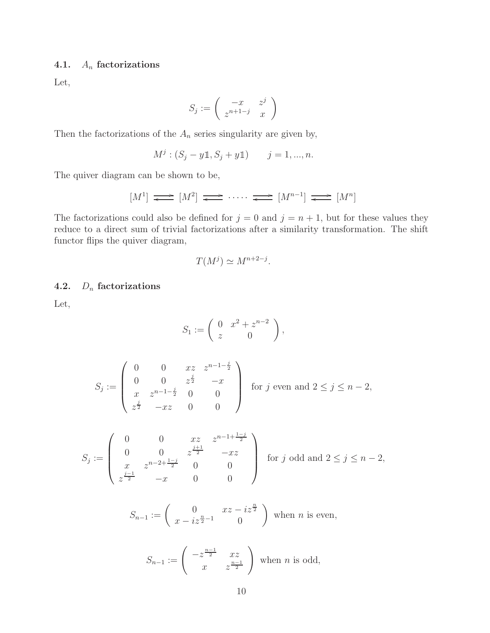## 4.1.  $A_n$  factorizations

Let,

$$
S_j := \left( \begin{array}{cc} -x & z^j \\ z^{n+1-j} & x \end{array} \right)
$$

Then the factorizations of the  $\mathcal{A}_n$  series singularity are given by,

$$
M^j : (S_j - y \mathbb{1}, S_j + y \mathbb{1})
$$
  $j = 1, ..., n.$ 

The quiver diagram can be shown to be,

$$
[M^1] \longrightarrow [M^2] \longrightarrow \cdots \longrightarrow [M^{n-1}] \longrightarrow [M^n]
$$

The factorizations could also be defined for  $j = 0$  and  $j = n + 1$ , but for these values they reduce to a direct sum of trivial factorizations after a similarity transformation. The shift functor flips the quiver diagram,

$$
T(M^j) \simeq M^{n+2-j}.
$$

## 4.2.  $D_n$  factorizations

Let,

$$
S_1 := \left(\begin{array}{cc} 0 & x^2 + z^{n-2} \\ z & 0 \end{array}\right),
$$

$$
S_j := \begin{pmatrix} 0 & 0 & xz & z^{n-1-\frac{j}{2}} \\ 0 & 0 & z^{\frac{j}{2}} & -x \\ x & z^{n-1-\frac{j}{2}} & 0 & 0 \\ z^{\frac{j}{2}} & -xz & 0 & 0 \end{pmatrix}
$$
 for  $j$  even and  $2 \le j \le n-2$ ,

$$
S_j := \begin{pmatrix} 0 & 0 & xz & z^{n-1+\frac{1-j}{2}} \\ 0 & 0 & z^{\frac{j+1}{2}} & -xz \\ x & z^{n-2+\frac{1-j}{2}} & 0 & 0 \\ z^{\frac{j-1}{2}} & -x & 0 & 0 \end{pmatrix}
$$
 for j odd and  $2 \le j \le n-2$ ,

$$
S_{n-1} := \begin{pmatrix} 0 & xz - iz^{\frac{n}{2}} \\ x - iz^{\frac{n}{2}-1} & 0 \end{pmatrix}
$$
 when *n* is even,

$$
S_{n-1} := \begin{pmatrix} -z^{\frac{n-1}{2}} & xz \\ x & z^{\frac{n-1}{2}} \end{pmatrix}
$$
 when *n* is odd,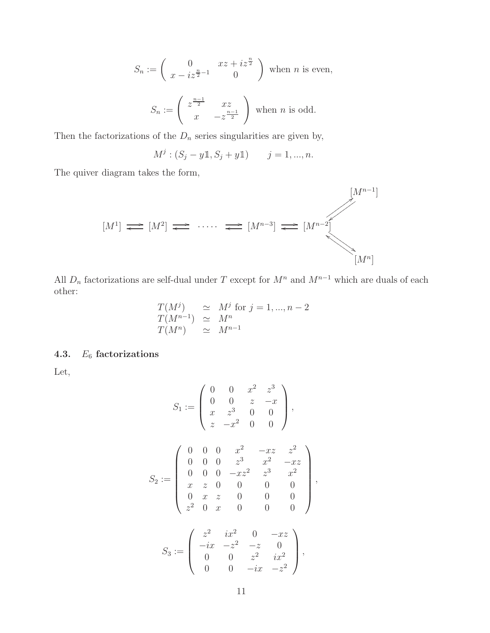$$
S_n := \begin{pmatrix} 0 & xz + iz^{\frac{n}{2}} \\ x - iz^{\frac{n}{2} - 1} & 0 \end{pmatrix}
$$
 when *n* is even,  

$$
S_n := \begin{pmatrix} z^{\frac{n-1}{2}} & xz \\ x & -z^{\frac{n-1}{2}} \end{pmatrix}
$$
 when *n* is odd.

Then the factorizations of the  $D_n$  series singularities are given by,

$$
M^{j}: (S_{j} - y \mathbb{1}, S_{j} + y \mathbb{1})
$$
  $j = 1, ..., n.$ 

The quiver diagram takes the form,



All  $D_n$  factorizations are self-dual under T except for  $M^n$  and  $M^{n-1}$  which are duals of each other:

$$
T(M^j) \simeq M^j \text{ for } j = 1, ..., n-2
$$
  
\n
$$
T(M^{n-1}) \simeq M^n
$$
  
\n
$$
T(M^n) \simeq M^{n-1}
$$

## 4.3.  $E_6$  factorizations

Let,

$$
S_1 := \begin{pmatrix} 0 & 0 & x^2 & z^3 \\ 0 & 0 & z & -x \\ x & z^3 & 0 & 0 \\ z & -x^2 & 0 & 0 \end{pmatrix},
$$
  

$$
S_2 := \begin{pmatrix} 0 & 0 & 0 & x^2 & -xz & z^2 \\ 0 & 0 & 0 & z^3 & x^2 & -xz \\ 0 & 0 & 0 & -xz^2 & z^3 & x^2 \\ x & z & 0 & 0 & 0 & 0 \\ 0 & x & z & 0 & 0 & 0 \\ z^2 & 0 & x & 0 & 0 & 0 \end{pmatrix},
$$
  

$$
S_3 := \begin{pmatrix} z^2 & ix^2 & 0 & -xz \\ -ix & -z^2 & -z & 0 \\ 0 & 0 & z^2 & ix^2 \\ 0 & 0 & -ix & -z^2 \end{pmatrix},
$$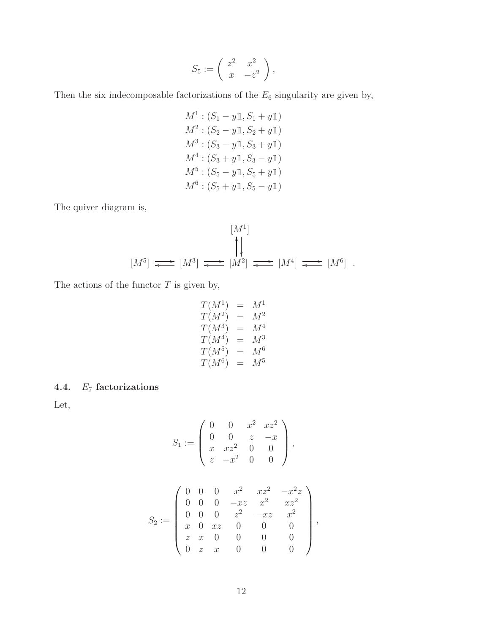$$
S_5 := \left( \begin{array}{cc} z^2 & x^2 \\ x & -z^2 \end{array} \right),
$$

Then the six indecomposable factorizations of the  $E_6$  singularity are given by,

 $M^1$  :  $(S_1 - y \mathbb{1}, S_1 + y \mathbb{1})$  $M^2$ :  $(S_2 - y \mathbb{1}, S_2 + y \mathbb{1})$  $M^3$ :  $(S_3 - y \mathbb{1}, S_3 + y \mathbb{1})$  $M^4$ :  $(S_3 + y1, S_3 - y1)$  $M^5$ :  $(S_5 - y1, S_5 + y1)$  $M^6$ :  $(S_5 + y1, S_5 - y1)$ 

The quiver diagram is,

$$
[M1]
$$
  
\n
$$
[M1]
$$
  
\n
$$
[M2]
$$
  
\n
$$
[M4]
$$
  
\n
$$
[M6]
$$
  
\n
$$
[M6]
$$
  
\n
$$
[M6]
$$

The actions of the functor  $T$  is given by,

$$
\begin{array}{rcl} T(M^1) & = & M^1 \\ T(M^2) & = & M^2 \\ T(M^3) & = & M^4 \\ T(M^4) & = & M^3 \\ T(M^5) & = & M^6 \\ T(M^6) & = & M^5 \end{array}
$$

## 4.4.  $E_7$  factorizations

Let,

$$
S_1 := \begin{pmatrix} 0 & 0 & x^2 & xz^2 \\ 0 & 0 & z & -x \\ x & xz^2 & 0 & 0 \\ z & -x^2 & 0 & 0 \end{pmatrix},
$$
  

$$
S_2 := \begin{pmatrix} 0 & 0 & 0 & x^2 & xz^2 & -x^2z \\ 0 & 0 & 0 & -xz & x^2 & xz^2 \\ 0 & 0 & 0 & z^2 & -xz & x^2 \\ x & 0 & xz & 0 & 0 & 0 \\ z & x & 0 & 0 & 0 & 0 \\ 0 & z & x & 0 & 0 & 0 \end{pmatrix}
$$

,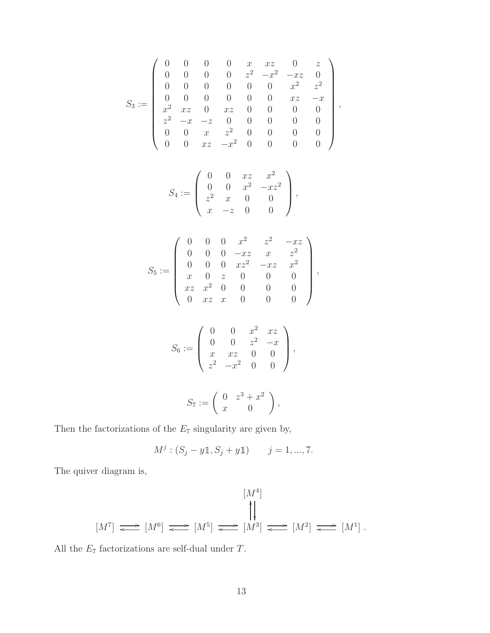$$
S_3:=\left(\begin{array}{ccccccccc} 0 & 0 & 0 & 0 & x & xz & 0 & z \\ 0 & 0 & 0 & 0 & z^2 & -x^2 & -xz & 0 \\ 0 & 0 & 0 & 0 & 0 & 0 & x^2 & z^2 \\ 0 & 0 & 0 & 0 & 0 & 0 & xz & -x \\ x^2 & xz & 0 & xz & 0 & 0 & 0 & 0 \\ z^2 & -x & -z & 0 & 0 & 0 & 0 & 0 \\ 0 & 0 & x & z^2 & 0 & 0 & 0 & 0 \\ 0 & 0 & xz & -x^2 & 0 & 0 & 0 & 0 \end{array}\right),
$$

$$
S_4 := \left(\begin{array}{cccc} 0 & 0 & xz & x^2 \\ 0 & 0 & x^2 & -xz^2 \\ z^2 & x & 0 & 0 \\ x & -z & 0 & 0 \end{array}\right),
$$

$$
S_5:=\left(\begin{array}{cccccc} 0 & 0 & 0 & x^2 & z^2 & -xz \\ 0 & 0 & 0 & -xz & x & z^2 \\ 0 & 0 & 0 & xz^2 & -xz & x^2 \\ x & 0 & z & 0 & 0 & 0 \\ xz & x^2 & 0 & 0 & 0 & 0 \\ 0 & xz & x & 0 & 0 & 0 \end{array}\right),
$$

$$
S_6 := \left(\begin{array}{cccc} 0 & 0 & x^2 & xz \\ 0 & 0 & z^2 & -x \\ x & xz & 0 & 0 \\ z^2 & -x^2 & 0 & 0 \end{array}\right),
$$

$$
S_7 := \left( \begin{array}{cc} 0 & z^3 + x^2 \\ x & 0 \end{array} \right),
$$

Then the factorizations of the  $E_7$  singularity are given by,

$$
M^{j}: (S_{j} - y \mathbb{1}, S_{j} + y \mathbb{1}) \qquad j = 1, ..., 7.
$$

The quiver diagram is,

$$
[M4]\longrightarrow [M6]\longrightarrow [M5]\longrightarrow [M3]\longrightarrow [M2]\longrightarrow [M1].
$$

All the  $E_7$  factorizations are self-dual under  $T.$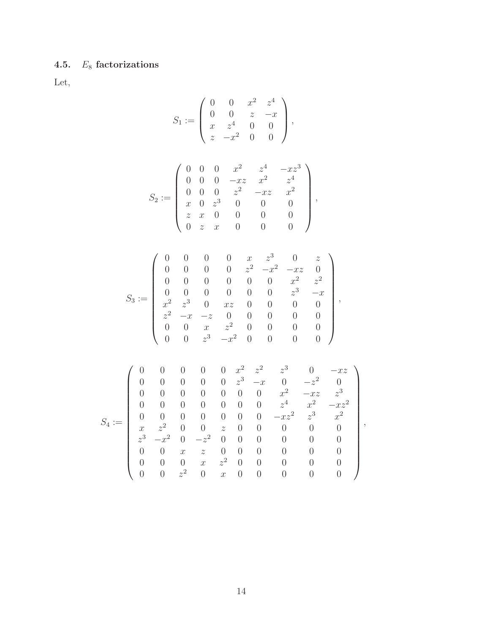# 4.5.  $E_8$  factorizations

Let,

$$
S_1 := \left(\begin{array}{cccc} 0 & 0 & x^2 & z^4 \\ 0 & 0 & z & -x \\ x & z^4 & 0 & 0 \\ z & -x^2 & 0 & 0 \end{array}\right),
$$

$$
S_2:=\left(\begin{array}{cccccc} 0 & 0 & 0 & x^2 & z^4 & -xz^3 \\ 0 & 0 & 0 & -xz & x^2 & z^4 \\ 0 & 0 & 0 & z^2 & -xz & x^2 \\ x & 0 & z^3 & 0 & 0 & 0 \\ z & x & 0 & 0 & 0 & 0 \\ 0 & z & x & 0 & 0 & 0 \end{array}\right),
$$

$$
S_3:=\left(\begin{array}{ccccccccc} 0 & 0 & 0 & 0 & x & z^3 & 0 & z \\ 0 & 0 & 0 & 0 & z^2 & -x^2 & -xz & 0 \\ 0 & 0 & 0 & 0 & 0 & 0 & x^2 & z^2 \\ 0 & 0 & 0 & 0 & 0 & 0 & z^3 & -x \\ x^2 & z^3 & 0 & xz & 0 & 0 & 0 & 0 \\ z^2 & -x & -z & 0 & 0 & 0 & 0 & 0 \\ 0 & 0 & x & z^2 & 0 & 0 & 0 & 0 \\ 0 & 0 & z^3 & -x^2 & 0 & 0 & 0 & 0 \end{array}\right),
$$

$$
S_4:=\left(\begin{array}{ccccccccccccc} 0 & 0 & 0 & 0 & 0 & x^2 & z^2 & z^3 & 0 & -xz \\ 0 & 0 & 0 & 0 & 0 & z^3 & -x & 0 & -z^2 & 0 \\ 0 & 0 & 0 & 0 & 0 & 0 & 0 & x^2 & -xz & z^3 \\ 0 & 0 & 0 & 0 & 0 & 0 & 0 & z^4 & x^2 & -xz^2 \\ x & z^2 & 0 & 0 & z & 0 & 0 & 0 & 0 & 0 \\ z^3 & -x^2 & 0 & -z^2 & 0 & 0 & 0 & 0 & 0 & 0 \\ 0 & 0 & x & z & 0 & 0 & 0 & 0 & 0 & 0 \\ 0 & 0 & 0 & x & z^2 & 0 & 0 & 0 & 0 & 0 \\ 0 & 0 & 0 & z^2 & 0 & x & 0 & 0 & 0 & 0 & 0 \end{array}\right),
$$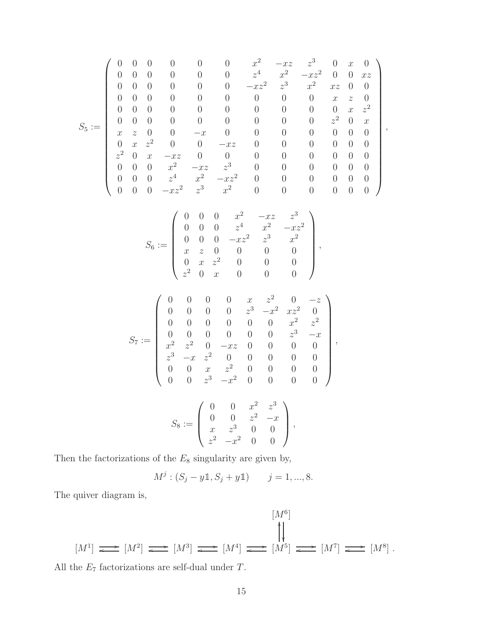$$
S_5:=\left(\begin{array}{ccccccccccccc} 0 & 0 & 0 & 0 & 0 & x^2 & -xz & z^3 & 0 & x & 0 \\ 0 & 0 & 0 & 0 & 0 & z^4 & x^2 & -xz^2 & 0 & 0 & xz \\ 0 & 0 & 0 & 0 & 0 & 0 & -xz^2 & z^3 & x^2 & xz & 0 & 0 \\ 0 & 0 & 0 & 0 & 0 & 0 & 0 & 0 & 0 & x & z & 0 \\ 0 & 0 & 0 & 0 & 0 & 0 & 0 & 0 & 0 & x & z^2 \\ 0 & 0 & 0 & 0 & 0 & 0 & 0 & 0 & 0 & z^2 & 0 & x \\ x & z & 0 & 0 & -x & 0 & 0 & 0 & 0 & 0 & 0 & 0 \\ 0 & x & z^2 & 0 & 0 & -xz & 0 & 0 & 0 & 0 & 0 & 0 \\ z^2 & 0 & x & -xz & 0 & 0 & 0 & 0 & 0 & 0 & 0 \\ 0 & 0 & 0 & x^2 & -xz & z^3 & 0 & 0 & 0 & 0 & 0 & 0 \\ 0 & 0 & 0 & z^4 & x^2 & -xz^2 & 0 & 0 & 0 & 0 & 0 & 0 \\ 0 & 0 & 0 & -xz^2 & z^3 & x^2 & 0 & 0 & 0 & 0 & 0 & 0 \end{array}\right),
$$

$$
S_6 := \left(\begin{array}{cccccc} 0 & 0 & 0 & x^2 & -xz & z^3 \\ 0 & 0 & 0 & z^4 & x^2 & -xz^2 \\ 0 & 0 & 0 & -xz^2 & z^3 & x^2 \\ x & z & 0 & 0 & 0 & 0 \\ 0 & x & z^2 & 0 & 0 & 0 \\ z^2 & 0 & x & 0 & 0 & 0 \end{array}\right),
$$

$$
S_7:=\left(\begin{array}{ccccccccc} 0 & 0 & 0 & 0 & x & z^2 & 0 & -z \\ 0 & 0 & 0 & 0 & z^3 & -x^2 & xz^2 & 0 \\ 0 & 0 & 0 & 0 & 0 & 0 & x^2 & z^2 \\ 0 & 0 & 0 & 0 & 0 & 0 & z^3 & -x \\ x^2 & z^2 & 0 & -xz & 0 & 0 & 0 & 0 \\ z^3 & -x & z^2 & 0 & 0 & 0 & 0 & 0 \\ 0 & 0 & x & z^2 & 0 & 0 & 0 & 0 \\ 0 & 0 & z^3 & -x^2 & 0 & 0 & 0 & 0 \end{array}\right),
$$

$$
S_8 := \left(\begin{array}{cccc} 0 & 0 & x^2 & z^3 \\ 0 & 0 & z^2 & -x \\ x & z^3 & 0 & 0 \\ z^2 & -x^2 & 0 & 0 \end{array}\right),
$$

Then the factorizations of the  $E_8$  singularity are given by,

$$
M^{j}: (S_{j} - y \mathbb{1}, S_{j} + y \mathbb{1}) \qquad j = 1, ..., 8.
$$

The quiver diagram is,

$$
[M6]
$$
  
\n
$$
[M6]
$$
  
\n
$$
\downarrow
$$
  
\n
$$
[M6]
$$
  
\n
$$
\downarrow
$$
  
\n
$$
[M6]
$$
  
\n
$$
\downarrow
$$
  
\n
$$
[M7] \longrightarrow [M8].
$$

All the  $E_7$  factorizations are self-dual under  $T.$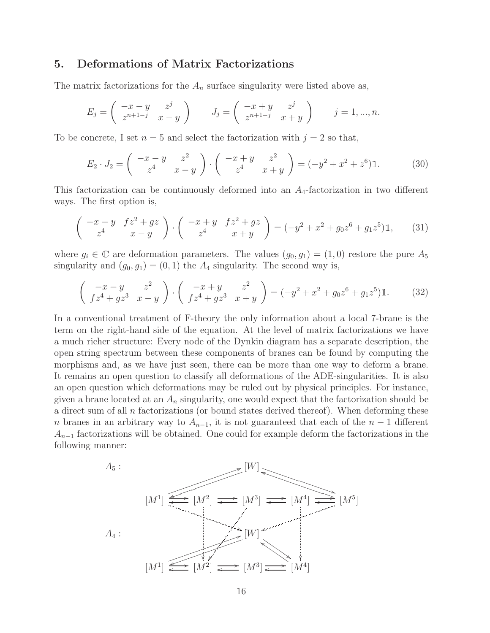### 5. Deformations of Matrix Factorizations

The matrix factorizations for the  $A_n$  surface singularity were listed above as,

$$
E_j = \begin{pmatrix} -x - y & z^j \\ z^{n+1-j} & x - y \end{pmatrix} \qquad J_j = \begin{pmatrix} -x + y & z^j \\ z^{n+1-j} & x + y \end{pmatrix} \qquad j = 1, ..., n.
$$

To be concrete, I set  $n = 5$  and select the factorization with  $j = 2$  so that,

$$
E_2 \cdot J_2 = \begin{pmatrix} -x - y & z^2 \\ z^4 & x - y \end{pmatrix} \cdot \begin{pmatrix} -x + y & z^2 \\ z^4 & x + y \end{pmatrix} = (-y^2 + x^2 + z^6) \mathbb{1}.
$$
 (30)

This factorization can be continuously deformed into an  $A_4$ -factorization in two different ways. The first option is,

$$
\begin{pmatrix} -x - y & f z^2 + g z \\ z^4 & x - y \end{pmatrix} \cdot \begin{pmatrix} -x + y & f z^2 + g z \\ z^4 & x + y \end{pmatrix} = (-y^2 + x^2 + g_0 z^6 + g_1 z^5) \mathbb{1}, \qquad (31)
$$

where  $g_i \in \mathbb{C}$  are deformation parameters. The values  $(g_0, g_1) = (1, 0)$  restore the pure  $A_5$ singularity and  $(g_0, g_1) = (0, 1)$  the  $A_4$  singularity. The second way is,

$$
\begin{pmatrix} -x - y & z^2 \\ fz^4 + gz^3 & x - y \end{pmatrix} \cdot \begin{pmatrix} -x + y & z^2 \\ fz^4 + gz^3 & x + y \end{pmatrix} = (-y^2 + x^2 + g_0 z^6 + g_1 z^5) \mathbb{1}.
$$
 (32)

In a conventional treatment of F-theory the only information about a local 7-brane is the term on the right-hand side of the equation. At the level of matrix factorizations we have a much richer structure: Every node of the Dynkin diagram has a separate description, the open string spectrum between these components of branes can be found by computing the morphisms and, as we have just seen, there can be more than one way to deform a brane. It remains an open question to classify all deformations of the ADE-singularities. It is also an open question which deformations may be ruled out by physical principles. For instance, given a brane located at an  $A_n$  singularity, one would expect that the factorization should be a direct sum of all  $n$  factorizations (or bound states derived thereof). When deforming these n branes in an arbitrary way to  $A_{n-1}$ , it is not guaranteed that each of the  $n-1$  different  $A_{n-1}$  factorizations will be obtained. One could for example deform the factorizations in the following manner:

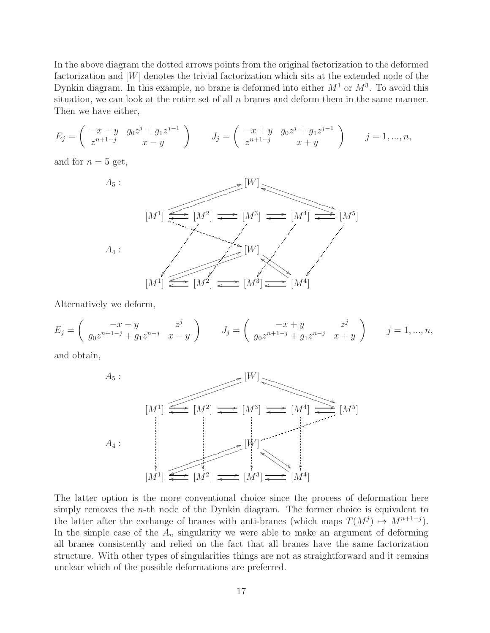In the above diagram the dotted arrows points from the original factorization to the deformed factorization and [W] denotes the trivial factorization which sits at the extended node of the Dynkin diagram. In this example, no brane is deformed into either  $M^1$  or  $M^3$ . To avoid this situation, we can look at the entire set of all  $n$  branes and deform them in the same manner. Then we have either,

$$
E_j = \begin{pmatrix} -x - y & g_0 z^j + g_1 z^{j-1} \\ z^{n+1-j} & x - y \end{pmatrix} \qquad J_j = \begin{pmatrix} -x + y & g_0 z^j + g_1 z^{j-1} \\ z^{n+1-j} & x + y \end{pmatrix} \qquad j = 1, ..., n,
$$

and for  $n = 5$  get,



Alternatively we deform,

$$
E_j = \begin{pmatrix} -x - y & z^j \\ g_0 z^{n+1-j} + g_1 z^{n-j} & x - y \end{pmatrix} \qquad J_j = \begin{pmatrix} -x + y & z^j \\ g_0 z^{n+1-j} + g_1 z^{n-j} & x + y \end{pmatrix} \qquad j = 1, ..., n,
$$

and obtain,



The latter option is the more conventional choice since the process of deformation here simply removes the  $n$ -th node of the Dynkin diagram. The former choice is equivalent to the latter after the exchange of branes with anti-branes (which maps  $T(M^{j}) \mapsto M^{n+1-j}$ ). In the simple case of the  $A_n$  singularity we were able to make an argument of deforming all branes consistently and relied on the fact that all branes have the same factorization structure. With other types of singularities things are not as straightforward and it remains unclear which of the possible deformations are preferred.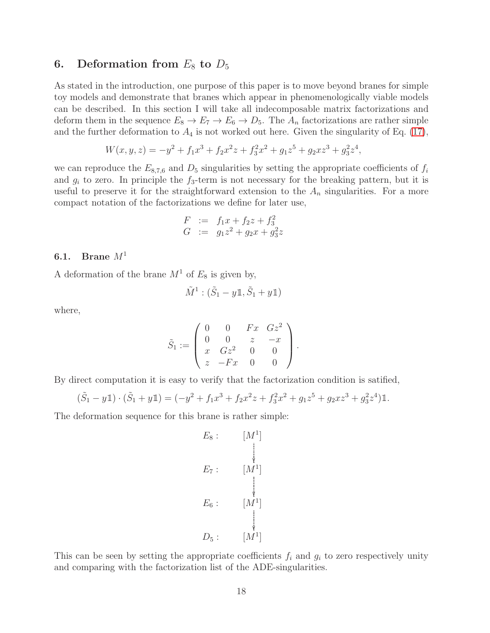## 6. Deformation from  $E_8$  to  $D_5$

As stated in the introduction, one purpose of this paper is to move beyond branes for simple toy models and demonstrate that branes which appear in phenomenologically viable models can be described. In this section I will take all indecomposable matrix factorizations and deform them in the sequence  $E_8 \to E_7 \to E_6 \to D_5$ . The  $A_n$  factorizations are rather simple and the further deformation to  $A_4$  is not worked out here. Given the singularity of Eq. [\(17\)](#page-6-0),

$$
W(x, y, z) = -y^2 + f_1 x^3 + f_2 x^2 z + f_3^2 x^2 + g_1 z^5 + g_2 x z^3 + g_3^2 z^4,
$$

we can reproduce the  $E_{8,7,6}$  and  $D_5$  singularities by setting the appropriate coefficients of  $f_i$ and  $g_i$  to zero. In principle the  $f_3$ -term is not necessary for the breaking pattern, but it is useful to preserve it for the straightforward extension to the  $A_n$  singularities. For a more compact notation of the factorizations we define for later use,

$$
F := f_1 x + f_2 z + f_3^2
$$
  
\n
$$
G := g_1 z^2 + g_2 x + g_3^2 z
$$

## 6.1. Brane  $M^1$

A deformation of the brane  $M<sup>1</sup>$  of  $E<sub>8</sub>$  is given by,

$$
\tilde{M}^1 : (\tilde{S}_1 - y \mathbb{1}, \tilde{S}_1 + y \mathbb{1})
$$

where,

$$
\tilde{S}_1 := \left( \begin{array}{cccc} 0 & 0 & Fx & Gz^2 \\ 0 & 0 & z & -x \\ x & Gz^2 & 0 & 0 \\ z & -Fx & 0 & 0 \end{array} \right).
$$

By direct computation it is easy to verify that the factorization condition is satified,

$$
(\tilde{S}_1 - y\mathbb{1}) \cdot (\tilde{S}_1 + y\mathbb{1}) = (-y^2 + f_1x^3 + f_2x^2z + f_3^2x^2 + g_1z^5 + g_2xz^3 + g_3^2z^4)\mathbb{1}.
$$

The deformation sequence for this brane is rather simple:

$$
E_8: \qquad [M^1]
$$
  
\n
$$
E_7: \qquad [M^1]
$$
  
\n
$$
E_6: \qquad [M^1]
$$
  
\n
$$
D_5: \qquad [M^1]
$$

This can be seen by setting the appropriate coefficients  $f_i$  and  $g_i$  to zero respectively unity and comparing with the factorization list of the ADE-singularities.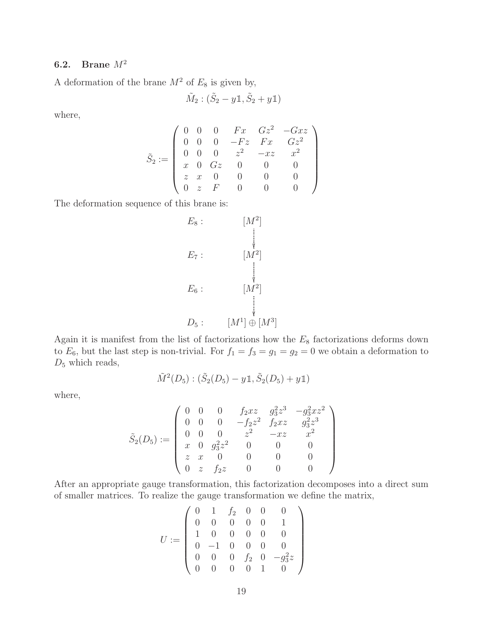# 6.2. Brane  $M^2$

A deformation of the brane  $M^2$  of  $E_8$  is given by,

$$
\tilde{M}_2:(\tilde{S}_2-y\mathbb{1},\tilde{S}_2+y\mathbb{1})
$$

where,

$$
\tilde S_2 := \left(\begin{array}{cccccc} 0 & 0 & 0 & Fx & Gz^2 & -Gxz \\ 0 & 0 & 0 & -Fz & Fx & Gz^2 \\ 0 & 0 & 0 & z^2 & -xz & x^2 \\ x & 0 & Gz & 0 & 0 & 0 \\ z & x & 0 & 0 & 0 & 0 \\ 0 & z & F & 0 & 0 & 0 \end{array}\right)
$$

The deformation sequence of this brane is:

$$
E_8: \t\t\t\t[M^2]
$$
\n
$$
E_7: \t\t\t[M^2]
$$
\n
$$
E_6: \t\t\t[M^2]
$$
\n
$$
D_5: \t\t\t[M^1] \oplus [M^3]
$$

Again it is manifest from the list of factorizations how the  $E_8$  factorizations deforms down to  $E_6$ , but the last step is non-trivial. For  $f_1 = f_3 = g_1 = g_2 = 0$  we obtain a deformation to  $D_5$  which reads,

$$
\tilde{M}^2(D_5): (\tilde{S}_2(D_5) - y \mathbb{1}, \tilde{S}_2(D_5) + y \mathbb{1})
$$

where,

$$
\tilde{S}_2(D_5):=\left(\begin{array}{cccccc} 0 & 0 & 0 & f_2xz & g_3^2z^3 & -g_3^2xz^2 \\ 0 & 0 & 0 & -f_2z^2 & f_2xz & g_3^2z^3 \\ 0 & 0 & 0 & z^2 & -xz & x^2 \\ x & 0 & g_3^2z^2 & 0 & 0 & 0 \\ z & x & 0 & 0 & 0 & 0 \\ 0 & z & f_2z & 0 & 0 & 0 \end{array}\right)
$$

After an appropriate gauge transformation, this factorization decomposes into a direct sum of smaller matrices. To realize the gauge transformation we define the matrix,

$$
U := \left(\begin{array}{cccccc} 0 & 1 & f_2 & 0 & 0 & 0 \\ 0 & 0 & 0 & 0 & 0 & 1 \\ 1 & 0 & 0 & 0 & 0 & 0 \\ 0 & -1 & 0 & 0 & 0 & 0 \\ 0 & 0 & 0 & f_2 & 0 & -g_3^2 z \\ 0 & 0 & 0 & 0 & 1 & 0 \end{array}\right)
$$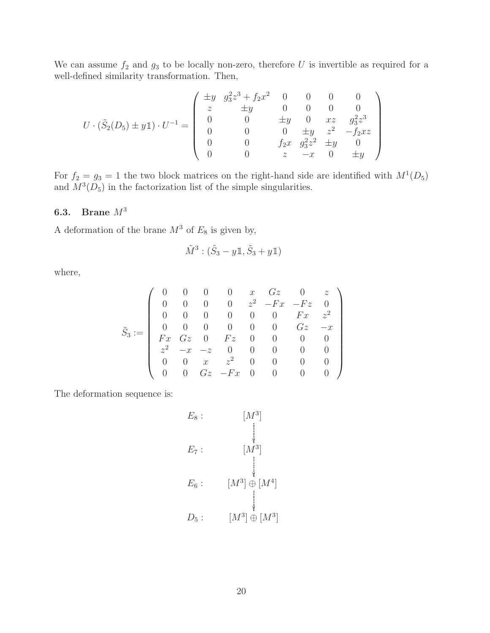We can assume  $f_2$  and  $g_3$  to be locally non-zero, therefore U is invertible as required for a well-defined similarity transformation. Then,

$$
U \cdot (\tilde{S}_2(D_5) \pm y \mathbb{1}) \cdot U^{-1} = \begin{pmatrix} \pm y & g_3^2 z^3 + f_2 x^2 & 0 & 0 & 0 & 0 \\ z & \pm y & 0 & 0 & 0 & 0 \\ 0 & 0 & \pm y & 0 & xz & g_3^2 z^3 \\ 0 & 0 & 0 & \pm y & z^2 & -f_2 xz \\ 0 & 0 & 0 & f_2 x & g_3^2 z^2 & \pm y & 0 \\ 0 & 0 & z & -x & 0 & \pm y \end{pmatrix}
$$

For  $f_2 = g_3 = 1$  the two block matrices on the right-hand side are identified with  $M^1(D_5)$ and  $M^3(D_5)$  in the factorization list of the simple singularities.

## 6.3. Brane M<sup>3</sup>

A deformation of the brane  $M^3$  of  $E_8$  is given by,

$$
\tilde{M}^3 : (\tilde{S}_3 - y \mathbb{1}, \tilde{S}_3 + y \mathbb{1})
$$

where,

$$
\tilde S_3:=\left(\begin{array}{ccccccccc} 0 & 0 & 0 & 0 & x & Gz & 0 & z \\ 0 & 0 & 0 & 0 & z^2 & -Fx & -Fz & 0 \\ 0 & 0 & 0 & 0 & 0 & 0 & Fx & z^2 \\ 0 & 0 & 0 & 0 & 0 & 0 & Gz & -x \\ Fx & Gz & 0 & Fz & 0 & 0 & 0 & 0 \\ z^2 & -x & -z & 0 & 0 & 0 & 0 & 0 \\ 0 & 0 & x & z^2 & 0 & 0 & 0 & 0 \\ 0 & 0 & Gz & -Fx & 0 & 0 & 0 & 0 \end{array}\right)
$$

The deformation sequence is:

$$
E_8: \qquad [M^3]
$$
  
\n
$$
E_7: \qquad [M^3]
$$
  
\n
$$
E_6: \qquad [M^3] \oplus [M^4]
$$
  
\n
$$
D_5: \qquad [M^3] \oplus [M^3]
$$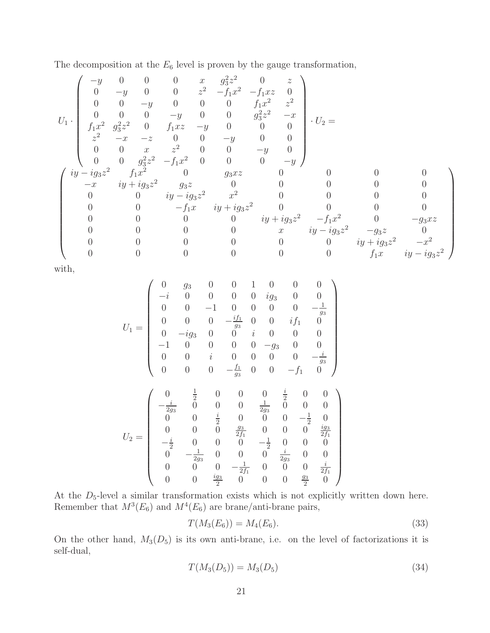The decomposition at the  $E_6$  level is proven by the gauge transformation,

$$
U_1\cdot \begin{pmatrix} -y & 0 & 0 & 0 & x & g_3^2z^2 & 0 & z \\ 0 & -y & 0 & 0 & z^2 & -f_1x^2 & -f_1xz & 0 \\ 0 & 0 & -y & 0 & 0 & 0 & f_1x^2 & z^2 \\ 0 & 0 & 0 & -y & 0 & 0 & g_3^2z^2 & -x \\ f_1x^2 & g_3^2z^2 & 0 & f_1xz & -y & 0 & 0 & 0 \\ z^2 & -x & -z & 0 & 0 & -y & 0 & 0 \\ 0 & 0 & x & z^2 & 0 & 0 & -y & 0 \\ 0 & 0 & g_3^2z^2 & -f_1x^2 & 0 & 0 & 0 & -y \\ -x & iy+ig_3z^2 & g_3z & 0 & 0 & 0 & 0 & 0 \\ 0 & 0 & iy-ig_3z^2 & x^2 & 0 & 0 & 0 & 0 \\ 0 & 0 & -f_1x & iy+ig_3z^2 & 0 & 0 & 0 & 0 \\ 0 & 0 & 0 & 0 & iy+ig_3z^2 & -f_1x^2 & 0 & -g_3xz \\ 0 & 0 & 0 & 0 & 0 & iy+ig_3z^2 & -f_1x^2 & 0 & -g_3xz \\ 0 & 0 & 0 & 0 & 0 & x & iy-ig_3z^2 & -g_3z & 0 \\ 0 & 0 & 0 & 0 & 0 & 0 & 0 & iy+ig_3z^2 & -x^2 \\ 0 & 0 & 0 & 0 & 0 & 0 & 0 & iy+ig_3z^2 & -x^2 \\ 0 & 0 & 0 & 0 & 0 & 0 & 0 & f_1x & iy-ig_3z^2 \end{pmatrix}
$$

with,

$$
U_1 = \begin{pmatrix}\n0 & g_3 & 0 & 0 & 1 & 0 & 0 & 0 \\
-i & 0 & 0 & 0 & 0 & ig_3 & 0 & 0 \\
0 & 0 & -1 & 0 & 0 & 0 & 0 & -\frac{1}{g_3} \\
0 & 0 & 0 & -\frac{if_1}{g_3} & 0 & 0 & if_1 & 0 \\
0 & -ig_3 & 0 & 0 & i & 0 & 0 & 0 \\
-1 & 0 & 0 & 0 & 0 & -g_3 & 0 & 0 \\
0 & 0 & i & 0 & 0 & 0 & 0 & -\frac{i}{g_3} \\
0 & 0 & 0 & -\frac{f_1}{g_3} & 0 & 0 & -f_1 & 0\n\end{pmatrix}
$$
\n
$$
U_2 = \begin{pmatrix}\n0 & \frac{1}{2} & 0 & 0 & 0 & \frac{i}{2} & 0 & 0 \\
-\frac{i}{2g_3} & 0 & 0 & 0 & \frac{1}{2g_3} & 0 & 0 & 0 \\
0 & 0 & \frac{i}{2} & 0 & 0 & 0 & -\frac{1}{2} & 0 \\
0 & 0 & 0 & \frac{g_3}{2f_1} & 0 & 0 & 0 & \frac{ig_3}{2f_1} \\
-\frac{i}{2} & 0 & 0 & 0 & -\frac{1}{2} & 0 & 0 & 0 \\
0 & -\frac{1}{2g_3} & 0 & 0 & 0 & \frac{i}{2g_3} & 0 & 0 \\
0 & 0 & 0 & -\frac{1}{2f_1} & 0 & 0 & 0 & \frac{i}{2f_1} \\
0 & 0 & \frac{ig_3}{2} & 0 & 0 & 0 & \frac{g_3}{2} & 0\n\end{pmatrix}
$$

At the  $D_5$ -level a similar transformation exists which is not explicitly written down here. Remember that  $M^3(E_6)$  and  $M^4(E_6)$  are brane/anti-brane pairs,

$$
T(M_3(E_6)) = M_4(E_6). \tag{33}
$$

On the other hand,  $M_3(D_5)$  is its own anti-brane, i.e. on the level of factorizations it is self-dual,

$$
T(M_3(D_5)) = M_3(D_5)
$$
\n(34)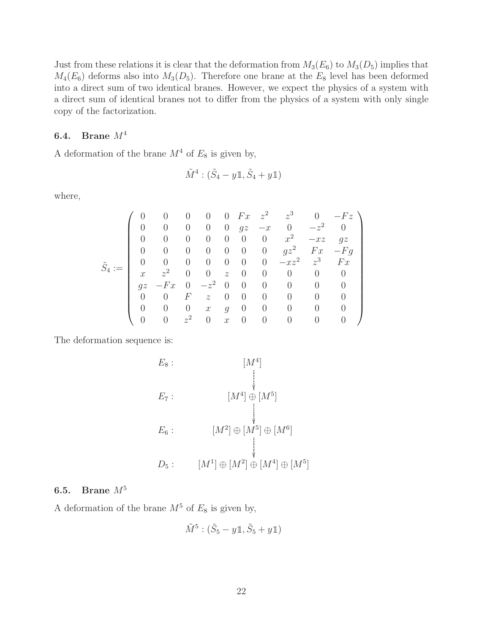Just from these relations it is clear that the deformation from  $M_3(E_6)$  to  $M_3(D_5)$  implies that  $M_4(E_6)$  deforms also into  $M_3(D_5)$ . Therefore one brane at the  $E_8$  level has been deformed into a direct sum of two identical branes. However, we expect the physics of a system with a direct sum of identical branes not to differ from the physics of a system with only single copy of the factorization.

### 6.4. Brane  $M^4$

A deformation of the brane  $M^4$  of  $E_8$  is given by,

$$
\tilde{M}^4 : (\tilde{S}_4 - y \mathbb{1}, \tilde{S}_4 + y \mathbb{1})
$$

where,

$$
\tilde S_4:=\left(\begin{array}{cccccccccc} 0 & 0 & 0 & 0 & 0 & Fx & z^2 & z^3 & 0 & -Fz \\ 0 & 0 & 0 & 0 & 0 & gz & -x & 0 & -z^2 & 0 \\ 0 & 0 & 0 & 0 & 0 & 0 & 0 & x^2 & -xz & gz \\ 0 & 0 & 0 & 0 & 0 & 0 & 0 & gz^2 & Fx & -Fg \\ x & z^2 & 0 & 0 & z & 0 & 0 & 0 & 0 & 0 \\ gz & -Fx & 0 & -z^2 & 0 & 0 & 0 & 0 & 0 & 0 \\ 0 & 0 & F & z & 0 & 0 & 0 & 0 & 0 & 0 \\ 0 & 0 & 0 & x & g & 0 & 0 & 0 & 0 & 0 \\ 0 & 0 & z^2 & 0 & x & 0 & 0 & 0 & 0 & 0 \end{array}\right)
$$

The deformation sequence is:

$$
E_8: \t[M^4]
$$
  
\n
$$
E_7: \t[M^4] \oplus [M^5]
$$
  
\n
$$
E_6: \t[M^2] \oplus [M^5] \oplus [M^6]
$$
  
\n
$$
D_5: \t[M^1] \oplus [M^2] \oplus [M^4] \oplus [M^5]
$$

## 6.5. Brane M<sup>5</sup>

A deformation of the brane  $M^5$  of  $E_8$  is given by,

$$
\tilde{M}^5 : (\tilde{S}_5 - y \mathbb{1}, \tilde{S}_5 + y \mathbb{1})
$$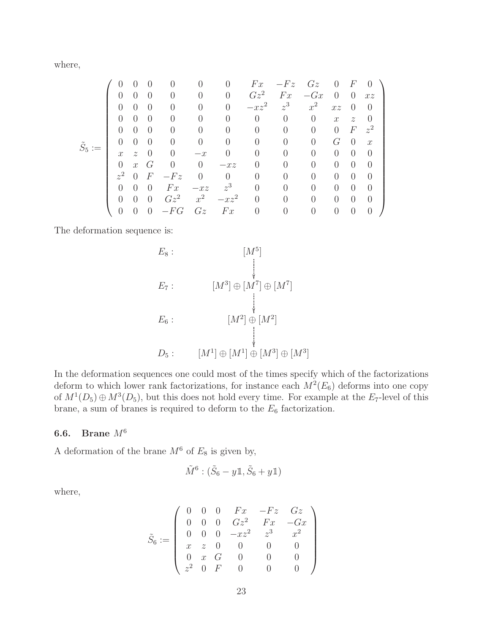where,

$$
\tilde{S}_5:=\left(\begin{array}{ccccccccccccc} 0 & 0 & 0 & 0 & 0 & 0 & Fx & -Fz & Gz & 0 & F & 0 \\ 0 & 0 & 0 & 0 & 0 & 0 & Gz^2 & Fx & -Gx & 0 & 0 & xz \\ 0 & 0 & 0 & 0 & 0 & 0 & -xz^2 & z^3 & x^2 & xz & 0 & 0 \\ 0 & 0 & 0 & 0 & 0 & 0 & 0 & 0 & 0 & x & z & 0 \\ 0 & 0 & 0 & 0 & 0 & 0 & 0 & 0 & 0 & 0 & F & z^2 \\ x & z & 0 & 0 & -x & 0 & 0 & 0 & 0 & 0 & 0 & 0 \\ 0 & x & G & 0 & 0 & -xz & 0 & 0 & 0 & 0 & 0 & 0 \\ z^2 & 0 & F & -Fz & 0 & 0 & 0 & 0 & 0 & 0 & 0 & 0 \\ 0 & 0 & 0 & Fx & -xz & z^3 & 0 & 0 & 0 & 0 & 0 & 0 \\ 0 & 0 & 0 & Gz^2 & x^2 & -xz^2 & 0 & 0 & 0 & 0 & 0 & 0 \\ 0 & 0 & 0 & -FG & Gz & Fx & 0 & 0 & 0 & 0 & 0 & 0 \end{array}\right)
$$

The deformation sequence is:

$$
E_8: \qquad [M^5]
$$
  
\n
$$
E_7: \qquad [M^3] \oplus [M^7] \oplus [M^7]
$$
  
\n
$$
E_6: \qquad [M^2] \oplus [M^2]
$$
  
\n
$$
D_5: \qquad [M^1] \oplus [M^1] \oplus [M^3] \oplus [M^3]
$$

In the deformation sequences one could most of the times specify which of the factorizations deform to which lower rank factorizations, for instance each  $M^2(E_6)$  deforms into one copy of  $M^1(D_5) \oplus M^3(D_5)$ , but this does not hold every time. For example at the E<sub>7</sub>-level of this brane, a sum of branes is required to deform to the  $E_6$  factorization.

## 6.6. Brane  $M^6$

A deformation of the brane  $M^6$  of  $E_8$  is given by,

$$
\tilde{M}^6 : (\tilde{S}_6 - y \mathbb{1}, \tilde{S}_6 + y \mathbb{1})
$$

where,

$$
\tilde S_6:=\left(\begin{array}{cccccc} 0 & 0 & 0 & Fx & -Fz & Gz \\ 0 & 0 & 0 & Gz^2 & Fx & -Gx \\ 0 & 0 & 0 & -xz^2 & z^3 & x^2 \\ x & z & 0 & 0 & 0 & 0 \\ 0 & x & G & 0 & 0 & 0 \\ z^2 & 0 & F & 0 & 0 & 0 \end{array}\right)
$$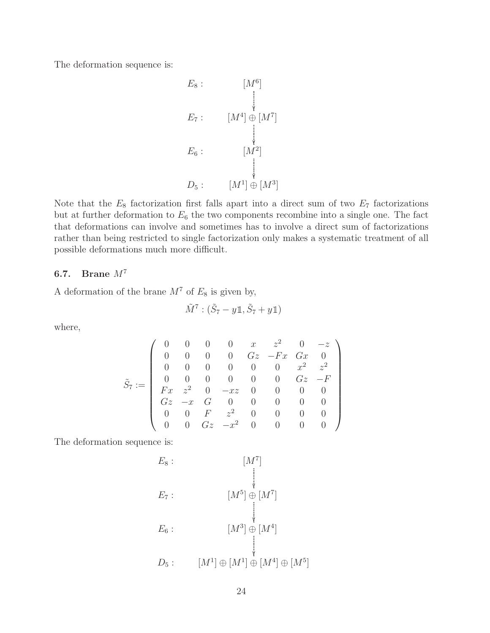The deformation sequence is:

$$
E_8: \qquad [M^6]
$$
\n
$$
E_7: \qquad [M^4] \oplus [M^7]
$$
\n
$$
E_6: \qquad [M^2]
$$
\n
$$
D_5: \qquad [M^1] \oplus [M^3]
$$

Note that the  $E_8$  factorization first falls apart into a direct sum of two  $E_7$  factorizations but at further deformation to  $E_6$  the two components recombine into a single one. The fact that deformations can involve and sometimes has to involve a direct sum of factorizations rather than being restricted to single factorization only makes a systematic treatment of all possible deformations much more difficult.

### 6.7. Brane  $M^7$

A deformation of the brane  $M^7$  of  $E_8$  is given by,

$$
\tilde{M}^7 : (\tilde{S}_7 - y \mathbb{1}, \tilde{S}_7 + y \mathbb{1})
$$

where,

$$
\tilde S_7:=\left(\begin{array}{ccccccccc} 0 & 0 & 0 & 0 & x & z^2 & 0 & -z \\ 0 & 0 & 0 & 0 & Gz & -Fx & Gx & 0 \\ 0 & 0 & 0 & 0 & 0 & 0 & x^2 & z^2 \\ 0 & 0 & 0 & 0 & 0 & 0 & Gz & -F \\ Fx & z^2 & 0 & -xz & 0 & 0 & 0 & 0 \\ Gz & -x & G & 0 & 0 & 0 & 0 & 0 \\ 0 & 0 & F & z^2 & 0 & 0 & 0 & 0 \\ 0 & 0 & Gz & -x^2 & 0 & 0 & 0 & 0 \end{array}\right)
$$

The deformation sequence is:

$$
E_8: [M^7]
$$
  
\n
$$
E_7: [M^5] \oplus [M^7]
$$
  
\n
$$
E_6: [M^3] \oplus [M^4]
$$
  
\n
$$
D_5: [M^1] \oplus [M^1] \oplus [M^4] \oplus [M^5]
$$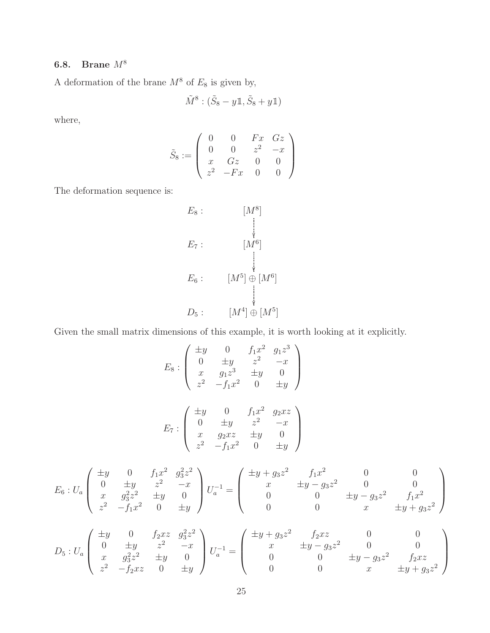# 6.8. Brane  $M^8$

A deformation of the brane  $M^8$  of  $E_8$  is given by,

$$
\tilde{M}^8:(\tilde{S}_8-y\mathbb{1},\tilde{S}_8+y\mathbb{1})
$$

where,

$$
\tilde{S}_8 := \left( \begin{array}{cccc} 0 & 0 & Fx & Gz \\ 0 & 0 & z^2 & -x \\ x & Gz & 0 & 0 \\ z^2 & -Fx & 0 & 0 \end{array} \right)
$$

The deformation sequence is:

$$
E_8: \qquad [M^8]
$$
  
\n
$$
E_7: \qquad [M^6]
$$
  
\n
$$
E_6: \qquad [M^5] \oplus [M^6]
$$
  
\n
$$
D_5: \qquad [M^4] \oplus [M^5]
$$

Given the small matrix dimensions of this example, it is worth looking at it explicitly.

$$
E_8: \begin{pmatrix} \pm y & 0 & f_1x^2 & g_1z^3 \\ 0 & \pm y & z^2 & -x \\ x & g_1z^3 & \pm y & 0 \\ z^2 & -f_1x^2 & 0 & \pm y \end{pmatrix}
$$

$$
E_7: \begin{pmatrix} \pm y & 0 & f_1x^2 & g_2xz \\ 0 & \pm y & z^2 & -x \\ x & g_2xz & \pm y & 0 \\ z^2 & -f_1x^2 & 0 & \pm y \end{pmatrix}
$$

$$
E_6: U_a \begin{pmatrix} \pm y & 0 & f_1 x^2 & g_3^2 z^2 \\ 0 & \pm y & z^2 & -x \\ x & g_3^2 z^2 & \pm y & 0 \\ z^2 & -f_1 x^2 & 0 & \pm y \end{pmatrix} U_a^{-1} = \begin{pmatrix} \pm y + g_3 z^2 & f_1 x^2 & 0 & 0 \\ x & \pm y - g_3 z^2 & 0 & 0 \\ 0 & 0 & \pm y - g_3 z^2 & f_1 x^2 \\ 0 & 0 & x & \pm y + g_3 z^2 \end{pmatrix}
$$

$$
D_5: U_a \begin{pmatrix} \pm y & 0 & f_2xz & g_3^2z^2 \\ 0 & \pm y & z^2 & -x \\ x & g_3^2z^2 & \pm y & 0 \\ z^2 & -f_2xz & 0 & \pm y \end{pmatrix} U_a^{-1} = \begin{pmatrix} \pm y + g_3z^2 & f_2xz & 0 & 0 \\ x & \pm y - g_3z^2 & 0 & 0 \\ 0 & 0 & \pm y - g_3z^2 & f_2xz \\ 0 & 0 & x & \pm y + g_3z^2 \end{pmatrix}
$$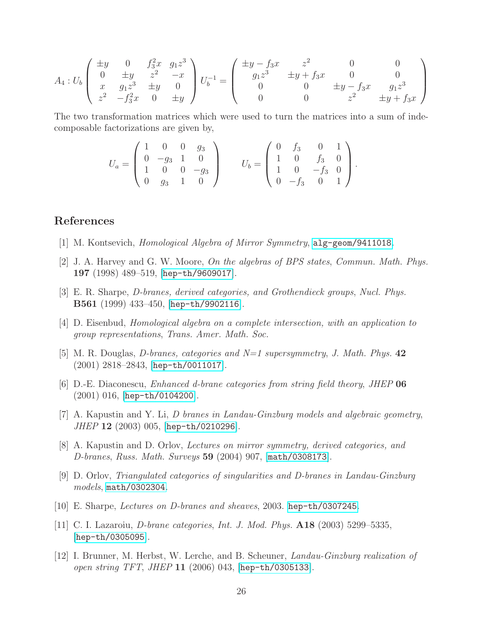$$
A_4: U_b \begin{pmatrix} \pm y & 0 & f_3^2 x & g_1 z^3 \\ 0 & \pm y & z^2 & -x \\ x & g_1 z^3 & \pm y & 0 \\ z^2 & -f_3^2 x & 0 & \pm y \end{pmatrix} U_b^{-1} = \begin{pmatrix} \pm y - f_3 x & z^2 & 0 & 0 \\ g_1 z^3 & \pm y + f_3 x & 0 & 0 \\ 0 & 0 & \pm y - f_3 x & g_1 z^3 \\ 0 & 0 & z^2 & \pm y + f_3 x \end{pmatrix}
$$

The two transformation matrices which were used to turn the matrices into a sum of indecomposable factorizations are given by,

$$
U_a = \begin{pmatrix} 1 & 0 & 0 & g_3 \\ 0 & -g_3 & 1 & 0 \\ 1 & 0 & 0 & -g_3 \\ 0 & g_3 & 1 & 0 \end{pmatrix} \qquad U_b = \begin{pmatrix} 0 & f_3 & 0 & 1 \\ 1 & 0 & f_3 & 0 \\ 1 & 0 & -f_3 & 0 \\ 0 & -f_3 & 0 & 1 \end{pmatrix}.
$$

# <span id="page-26-0"></span>References

- <span id="page-26-1"></span>[1] M. Kontsevich, *Homological Algebra of Mirror Symmetry*, [alg-geom/9411018](http://xxx.lanl.gov/abs/alg-geom/9411018).
- <span id="page-26-2"></span>[2] J. A. Harvey and G. W. Moore, *On the algebras of BPS states*, *Commun. Math. Phys.* 197 (1998) 489–519, [[hep-th/9609017](http://xxx.lanl.gov/abs/hep-th/9609017)].
- <span id="page-26-3"></span>[3] E. R. Sharpe, *D-branes, derived categories, and Grothendieck groups*, *Nucl. Phys.* B561 (1999) 433–450, [[hep-th/9902116](http://xxx.lanl.gov/abs/hep-th/9902116)].
- <span id="page-26-4"></span>[4] D. Eisenbud, *Homological algebra on a complete intersection, with an application to group representations*, *Trans. Amer. Math. Soc.*
- <span id="page-26-5"></span>[5] M. R. Douglas, *D-branes, categories and N=1 supersymmetry*, *J. Math. Phys.* 42  $(2001)$  2818–2843, [[hep-th/0011017](http://xxx.lanl.gov/abs/hep-th/0011017)].
- [6] D.-E. Diaconescu, *Enhanced d-brane categories from string field theory*, *JHEP* 06 (2001) 016, [[hep-th/0104200](http://xxx.lanl.gov/abs/hep-th/0104200)].
- <span id="page-26-6"></span>[7] A. Kapustin and Y. Li, *D branes in Landau-Ginzburg models and algebraic geometry*, *JHEP* 12 (2003) 005, [[hep-th/0210296](http://xxx.lanl.gov/abs/hep-th/0210296)].
- <span id="page-26-8"></span><span id="page-26-7"></span>[8] A. Kapustin and D. Orlov, *Lectures on mirror symmetry, derived categories, and D-branes*, *Russ. Math. Surveys* 59 (2004) 907, [[math/0308173](http://xxx.lanl.gov/abs/math/0308173)].
- <span id="page-26-9"></span>[9] D. Orlov, *Triangulated categories of singularities and D-branes in Landau-Ginzburg models*, [math/0302304](http://xxx.lanl.gov/abs/math/0302304).
- <span id="page-26-10"></span>[10] E. Sharpe, *Lectures on D-branes and sheaves*, 2003. [hep-th/0307245](http://xxx.lanl.gov/abs/hep-th/0307245).
- [11] C. I. Lazaroiu, *D-brane categories*, *Int. J. Mod. Phys.* A18 (2003) 5299–5335, [[hep-th/0305095](http://xxx.lanl.gov/abs/hep-th/0305095)].
- <span id="page-26-11"></span>[12] I. Brunner, M. Herbst, W. Lerche, and B. Scheuner, *Landau-Ginzburg realization of open string TFT*, *JHEP* 11 (2006) 043, [[hep-th/0305133](http://xxx.lanl.gov/abs/hep-th/0305133)].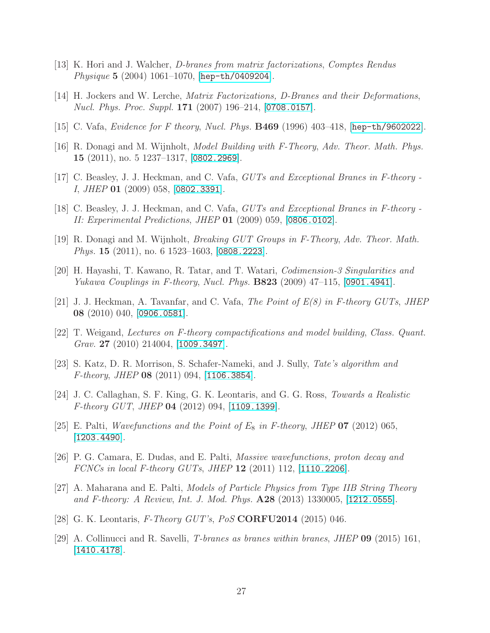- <span id="page-27-1"></span><span id="page-27-0"></span>[13] K. Hori and J. Walcher, *D-branes from matrix factorizations*, *Comptes Rendus Physique* 5 (2004) 1061–1070, [[hep-th/0409204](http://xxx.lanl.gov/abs/hep-th/0409204)].
- <span id="page-27-2"></span>[14] H. Jockers and W. Lerche, *Matrix Factorizations, D-Branes and their Deformations*, *Nucl. Phys. Proc. Suppl.* 171 (2007) 196–214, [[0708.0157](http://xxx.lanl.gov/abs/0708.0157)].
- <span id="page-27-3"></span>[15] C. Vafa, *Evidence for F theory*, *Nucl. Phys.* B469 (1996) 403–418, [[hep-th/9602022](http://xxx.lanl.gov/abs/hep-th/9602022)].
- <span id="page-27-4"></span>[16] R. Donagi and M. Wijnholt, *Model Building with F-Theory*, *Adv. Theor. Math. Phys.* 15 (2011), no. 5 1237–1317, [[0802.2969](http://xxx.lanl.gov/abs/0802.2969)].
- <span id="page-27-5"></span>[17] C. Beasley, J. J. Heckman, and C. Vafa, *GUTs and Exceptional Branes in F-theory - I*, *JHEP* 01 (2009) 058, [[0802.3391](http://xxx.lanl.gov/abs/0802.3391)].
- <span id="page-27-6"></span>[18] C. Beasley, J. J. Heckman, and C. Vafa, *GUTs and Exceptional Branes in F-theory - II: Experimental Predictions*, *JHEP* 01 (2009) 059, [[0806.0102](http://xxx.lanl.gov/abs/0806.0102)].
- <span id="page-27-7"></span>[19] R. Donagi and M. Wijnholt, *Breaking GUT Groups in F-Theory*, *Adv. Theor. Math. Phys.* **15** (2011), no. 6 1523–1603, [[0808.2223](http://xxx.lanl.gov/abs/0808.2223)].
- <span id="page-27-8"></span>[20] H. Hayashi, T. Kawano, R. Tatar, and T. Watari, *Codimension-3 Singularities and Yukawa Couplings in F-theory*, *Nucl. Phys.* B823 (2009) 47–115, [[0901.4941](http://xxx.lanl.gov/abs/0901.4941)].
- <span id="page-27-9"></span>[21] J. J. Heckman, A. Tavanfar, and C. Vafa, *The Point of E(8) in F-theory GUTs*, *JHEP* 08 (2010) 040, [[0906.0581](http://xxx.lanl.gov/abs/0906.0581)].
- <span id="page-27-10"></span>[22] T. Weigand, *Lectures on F-theory compactifications and model building*, *Class. Quant. Grav.* 27 (2010) 214004, [[1009.3497](http://xxx.lanl.gov/abs/1009.3497)].
- <span id="page-27-11"></span>[23] S. Katz, D. R. Morrison, S. Schafer-Nameki, and J. Sully, *Tate's algorithm and F-theory*, *JHEP* 08 (2011) 094, [[1106.3854](http://xxx.lanl.gov/abs/1106.3854)].
- <span id="page-27-12"></span>[24] J. C. Callaghan, S. F. King, G. K. Leontaris, and G. G. Ross, *Towards a Realistic F-theory GUT*, *JHEP* 04 (2012) 094, [[1109.1399](http://xxx.lanl.gov/abs/1109.1399)].
- <span id="page-27-13"></span>[25] E. Palti, *Wavefunctions and the Point of*  $E_8$  *in F-theory, JHEP* 07 (2012) 065, [[1203.4490](http://xxx.lanl.gov/abs/1203.4490)].
- [26] P. G. Camara, E. Dudas, and E. Palti, *Massive wavefunctions, proton decay and FCNCs in local F-theory GUTs*, *JHEP* 12 (2011) 112, [[1110.2206](http://xxx.lanl.gov/abs/1110.2206)].
- <span id="page-27-14"></span>[27] A. Maharana and E. Palti, *Models of Particle Physics from Type IIB String Theory and F-theory: A Review*, *Int. J. Mod. Phys.* A28 (2013) 1330005, [[1212.0555](http://xxx.lanl.gov/abs/1212.0555)].
- <span id="page-27-16"></span><span id="page-27-15"></span>[28] G. K. Leontaris, *F-Theory GUT's*, *PoS* CORFU2014 (2015) 046.
- [29] A. Collinucci and R. Savelli, *T-branes as branes within branes*, *JHEP* 09 (2015) 161,  $|1410.4178|$  $|1410.4178|$  $|1410.4178|$ .